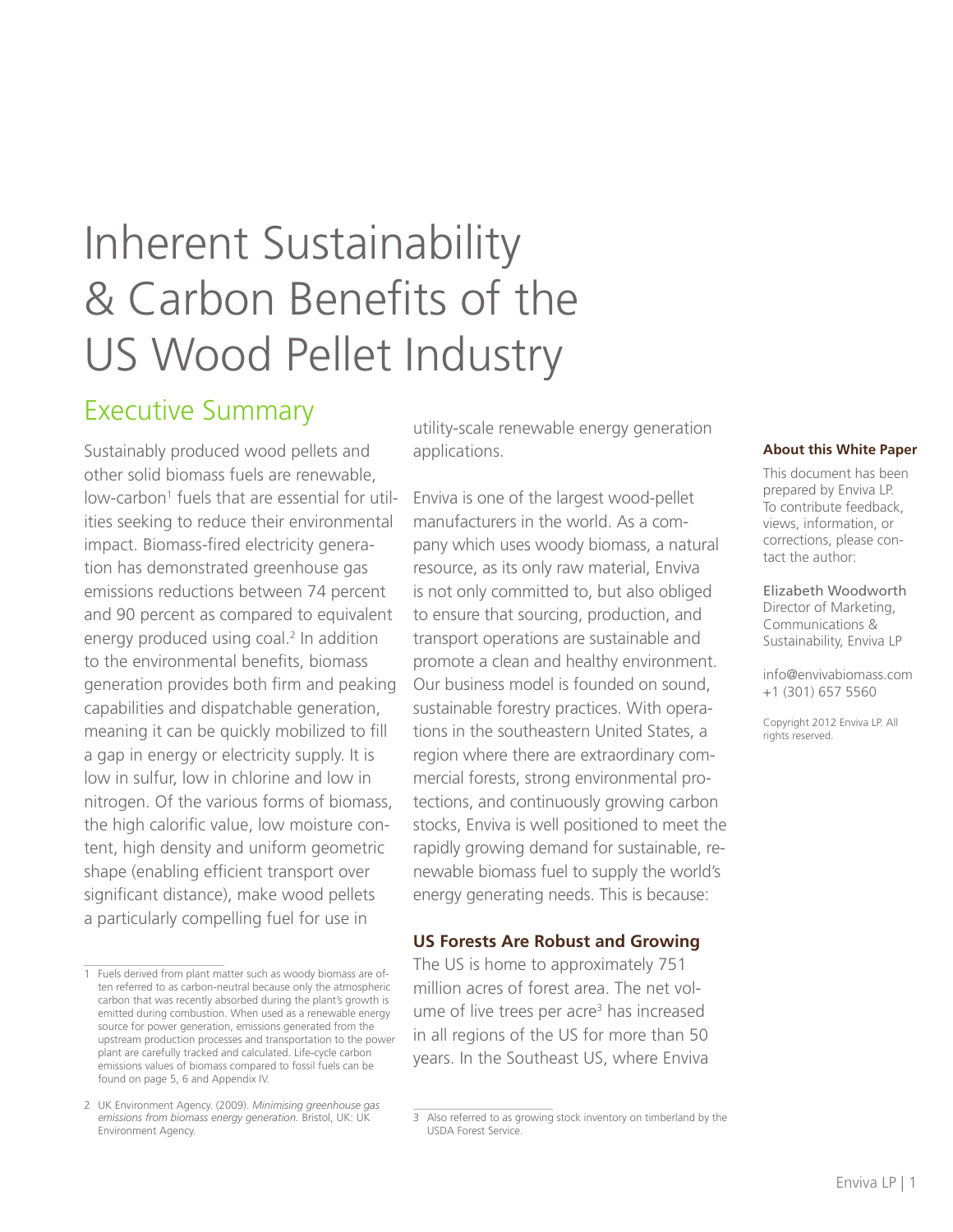# Inherent Sustainability & Carbon Benefits of the US Wood Pellet Industry

## Executive Summary

Sustainably produced wood pellets and other solid biomass fuels are renewable, low-carbon<sup>1</sup> fuels that are essential for utilities seeking to reduce their environmental impact. Biomass-fired electricity generation has demonstrated greenhouse gas emissions reductions between 74 percent and 90 percent as compared to equivalent energy produced using coal.<sup>2</sup> In addition to the environmental benefits, biomass generation provides both firm and peaking capabilities and dispatchable generation, meaning it can be quickly mobilized to fill a gap in energy or electricity supply. It is low in sulfur, low in chlorine and low in nitrogen. Of the various forms of biomass, the high calorific value, low moisture content, high density and uniform geometric shape (enabling efficient transport over significant distance), make wood pellets a particularly compelling fuel for use in

utility-scale renewable energy generation applications.

Enviva is one of the largest wood-pellet manufacturers in the world. As a company which uses woody biomass, a natural resource, as its only raw material, Enviva is not only committed to, but also obliged to ensure that sourcing, production, and transport operations are sustainable and promote a clean and healthy environment. Our business model is founded on sound, sustainable forestry practices. With operations in the southeastern United States, a region where there are extraordinary commercial forests, strong environmental protections, and continuously growing carbon stocks, Enviva is well positioned to meet the rapidly growing demand for sustainable, renewable biomass fuel to supply the world's energy generating needs. This is because:

#### **US Forests Are Robust and Growing**

The US is home to approximately 751 million acres of forest area. The net volume of live trees per acre<sup>3</sup> has increased in all regions of the US for more than 50 years. In the Southeast US, where Enviva

#### **About this White Paper**

This document has been prepared by Enviva LP. To contribute feedback, views, information, or corrections, please contact the author:

Elizabeth Woodworth Director of Marketing, Communications & Sustainability, Enviva LP

info@envivabiomass.com +1 (301) 657 5560

Copyright 2012 Enviva LP. All rights reserved.

<sup>1</sup> Fuels derived from plant matter such as woody biomass are often referred to as carbon-neutral because only the atmospheric carbon that was recently absorbed during the plant's growth is emitted during combustion. When used as a renewable energy source for power generation, emissions generated from the upstream production processes and transportation to the power plant are carefully tracked and calculated. Life-cycle carbon emissions values of biomass compared to fossil fuels can be found on page 5, 6 and Appendix IV.

<sup>2</sup> UK Environment Agency. (2009). *Minimising greenhouse gas emissions from biomass energy generation.* Bristol, UK: UK Environment Agency.

<sup>3</sup> Also referred to as growing stock inventory on timberland by the USDA Forest Service.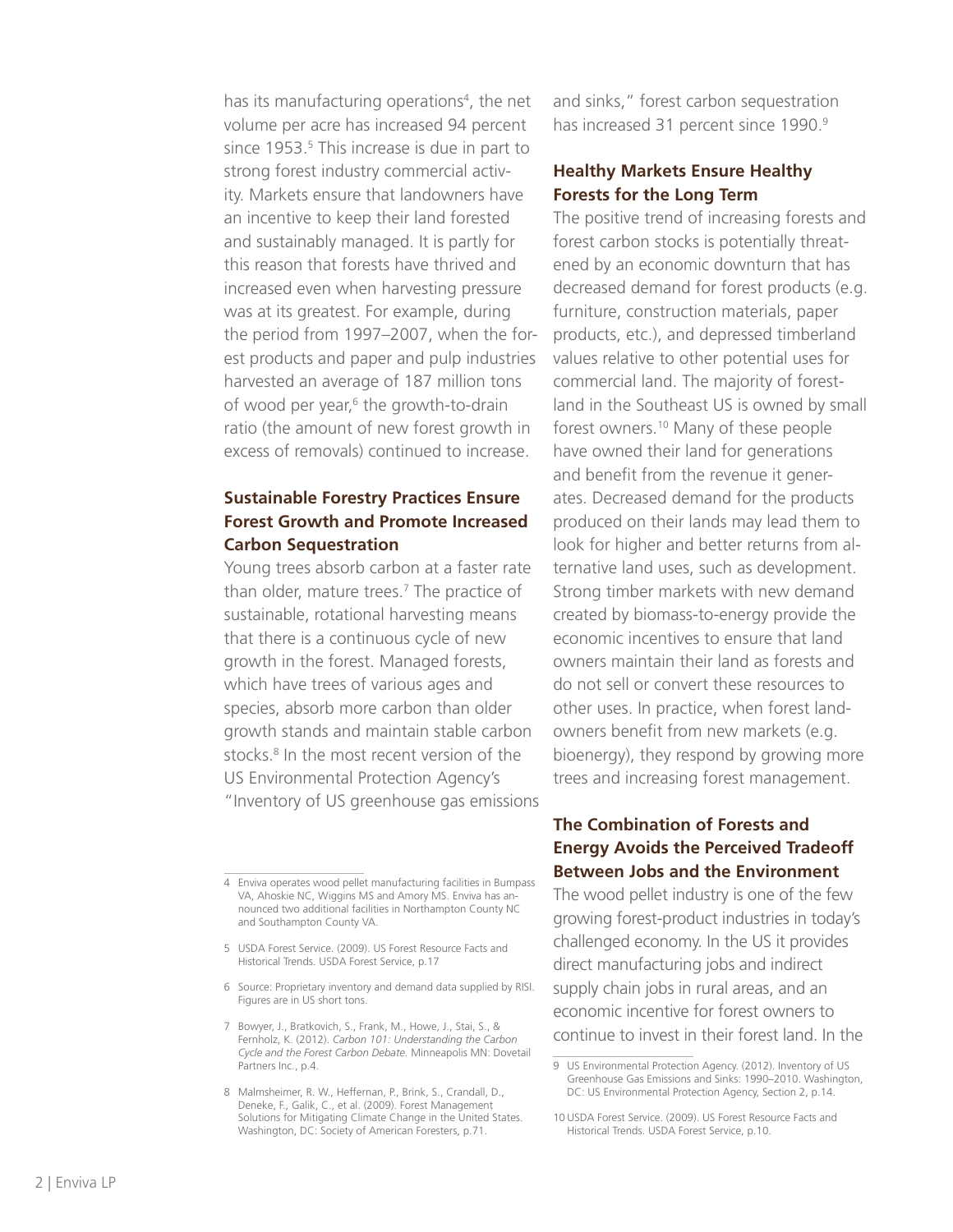has its manufacturing operations<sup>4</sup>, the net volume per acre has increased 94 percent since 1953.<sup>5</sup> This increase is due in part to strong forest industry commercial activity. Markets ensure that landowners have an incentive to keep their land forested and sustainably managed. It is partly for this reason that forests have thrived and increased even when harvesting pressure was at its greatest. For example, during the period from 1997–2007, when the forest products and paper and pulp industries harvested an average of 187 million tons of wood per year,<sup>6</sup> the growth-to-drain ratio (the amount of new forest growth in excess of removals) continued to increase.

### **Sustainable Forestry Practices Ensure Forest Growth and Promote Increased Carbon Sequestration**

Young trees absorb carbon at a faster rate than older, mature trees.<sup>7</sup> The practice of sustainable, rotational harvesting means that there is a continuous cycle of new growth in the forest. Managed forests, which have trees of various ages and species, absorb more carbon than older growth stands and maintain stable carbon stocks.<sup>8</sup> In the most recent version of the US Environmental Protection Agency's "Inventory of US greenhouse gas emissions

- 5 USDA Forest Service. (2009). US Forest Resource Facts and Historical Trends. USDA Forest Service, p.17
- 6 Source: Proprietary inventory and demand data supplied by RISI. Figures are in US short tons.
- 7 Bowyer, J., Bratkovich, S., Frank, M., Howe, J., Stai, S., & Fernholz, K. (2012). *Carbon 101: Understanding the Carbon Cycle and the Forest Carbon Debate.* Minneapolis MN: Dovetail Partners Inc., p.4.
- 8 Malmsheimer, R. W., Heffernan, P., Brink, S., Crandall, D., Deneke, F., Galik, C., et al. (2009). Forest Management Solutions for Mitigating Climate Change in the United States. Washington, DC: Society of American Foresters, p.71.

and sinks," forest carbon sequestration has increased 31 percent since 1990.<sup>9</sup>

### **Healthy Markets Ensure Healthy Forests for the Long Term**

The positive trend of increasing forests and forest carbon stocks is potentially threatened by an economic downturn that has decreased demand for forest products (e.g. furniture, construction materials, paper products, etc.), and depressed timberland values relative to other potential uses for commercial land. The majority of forestland in the Southeast US is owned by small forest owners.10 Many of these people have owned their land for generations and benefit from the revenue it generates. Decreased demand for the products produced on their lands may lead them to look for higher and better returns from alternative land uses, such as development. Strong timber markets with new demand created by biomass-to-energy provide the economic incentives to ensure that land owners maintain their land as forests and do not sell or convert these resources to other uses. In practice, when forest landowners benefit from new markets (e.g. bioenergy), they respond by growing more trees and increasing forest management.

### **The Combination of Forests and Energy Avoids the Perceived Tradeoff Between Jobs and the Environment**

The wood pellet industry is one of the few growing forest-product industries in today's challenged economy. In the US it provides direct manufacturing jobs and indirect supply chain jobs in rural areas, and an economic incentive for forest owners to continue to invest in their forest land. In the

<sup>4</sup> Enviva operates wood pellet manufacturing facilities in Bumpass VA, Ahoskie NC, Wiggins MS and Amory MS. Enviva has announced two additional facilities in Northampton County NC and Southampton County VA.

<sup>9</sup> US Environmental Protection Agency. (2012). Inventory of US Greenhouse Gas Emissions and Sinks: 1990–2010. Washington, DC: US Environmental Protection Agency, Section 2, p.14.

<sup>10</sup> USDA Forest Service. (2009). US Forest Resource Facts and Historical Trends. USDA Forest Service, p.10.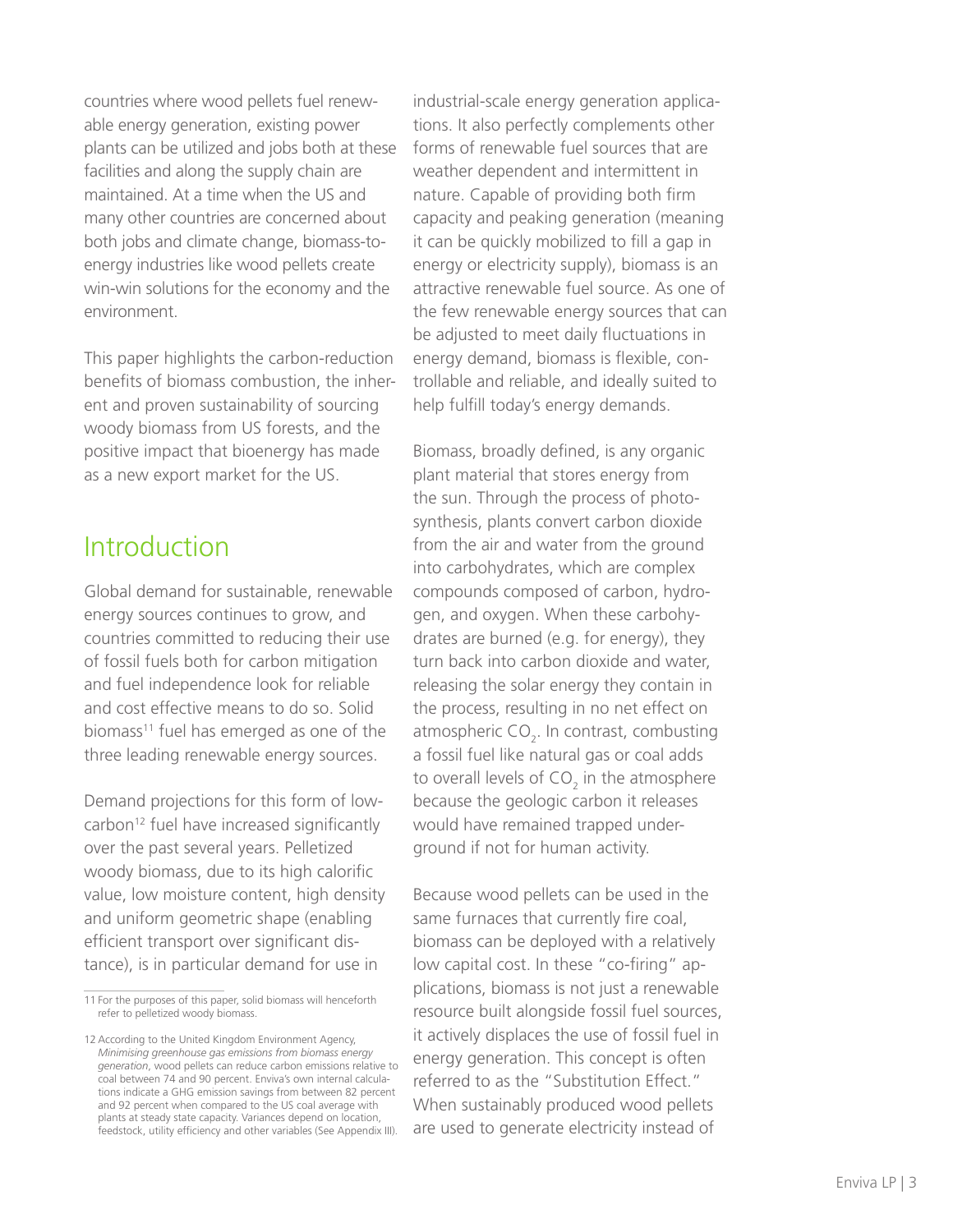countries where wood pellets fuel renewable energy generation, existing power plants can be utilized and jobs both at these facilities and along the supply chain are maintained. At a time when the US and many other countries are concerned about both jobs and climate change, biomass-toenergy industries like wood pellets create win-win solutions for the economy and the environment.

This paper highlights the carbon-reduction benefits of biomass combustion, the inherent and proven sustainability of sourcing woody biomass from US forests, and the positive impact that bioenergy has made as a new export market for the US.

### Introduction

Global demand for sustainable, renewable energy sources continues to grow, and countries committed to reducing their use of fossil fuels both for carbon mitigation and fuel independence look for reliable and cost effective means to do so. Solid biomass<sup>11</sup> fuel has emerged as one of the three leading renewable energy sources.

Demand projections for this form of lowcarbon<sup>12</sup> fuel have increased significantly over the past several years. Pelletized woody biomass, due to its high calorific value, low moisture content, high density and uniform geometric shape (enabling efficient transport over significant distance), is in particular demand for use in

industrial-scale energy generation applications. It also perfectly complements other forms of renewable fuel sources that are weather dependent and intermittent in nature. Capable of providing both firm capacity and peaking generation (meaning it can be quickly mobilized to fill a gap in energy or electricity supply), biomass is an attractive renewable fuel source. As one of the few renewable energy sources that can be adjusted to meet daily fluctuations in energy demand, biomass is flexible, controllable and reliable, and ideally suited to help fulfill today's energy demands.

Biomass, broadly defined, is any organic plant material that stores energy from the sun. Through the process of photosynthesis, plants convert carbon dioxide from the air and water from the ground into carbohydrates, which are complex compounds composed of carbon, hydrogen, and oxygen. When these carbohydrates are burned (e.g. for energy), they turn back into carbon dioxide and water, releasing the solar energy they contain in the process, resulting in no net effect on atmospheric CO<sub>2</sub>. In contrast, combusting a fossil fuel like natural gas or coal adds to overall levels of  $CO_2$  in the atmosphere because the geologic carbon it releases would have remained trapped underground if not for human activity.

Because wood pellets can be used in the same furnaces that currently fire coal, biomass can be deployed with a relatively low capital cost. In these "co-firing" applications, biomass is not just a renewable resource built alongside fossil fuel sources, it actively displaces the use of fossil fuel in energy generation. This concept is often referred to as the "Substitution Effect." When sustainably produced wood pellets are used to generate electricity instead of

<sup>11</sup> For the purposes of this paper, solid biomass will henceforth refer to pelletized woody biomass.

<sup>12</sup> According to the United Kingdom Environment Agency, *Minimising greenhouse gas emissions from biomass energy generation*, wood pellets can reduce carbon emissions relative to coal between 74 and 90 percent. Enviva's own internal calculations indicate a GHG emission savings from between 82 percent and 92 percent when compared to the US coal average with plants at steady state capacity. Variances depend on location, feedstock, utility efficiency and other variables (See Appendix III).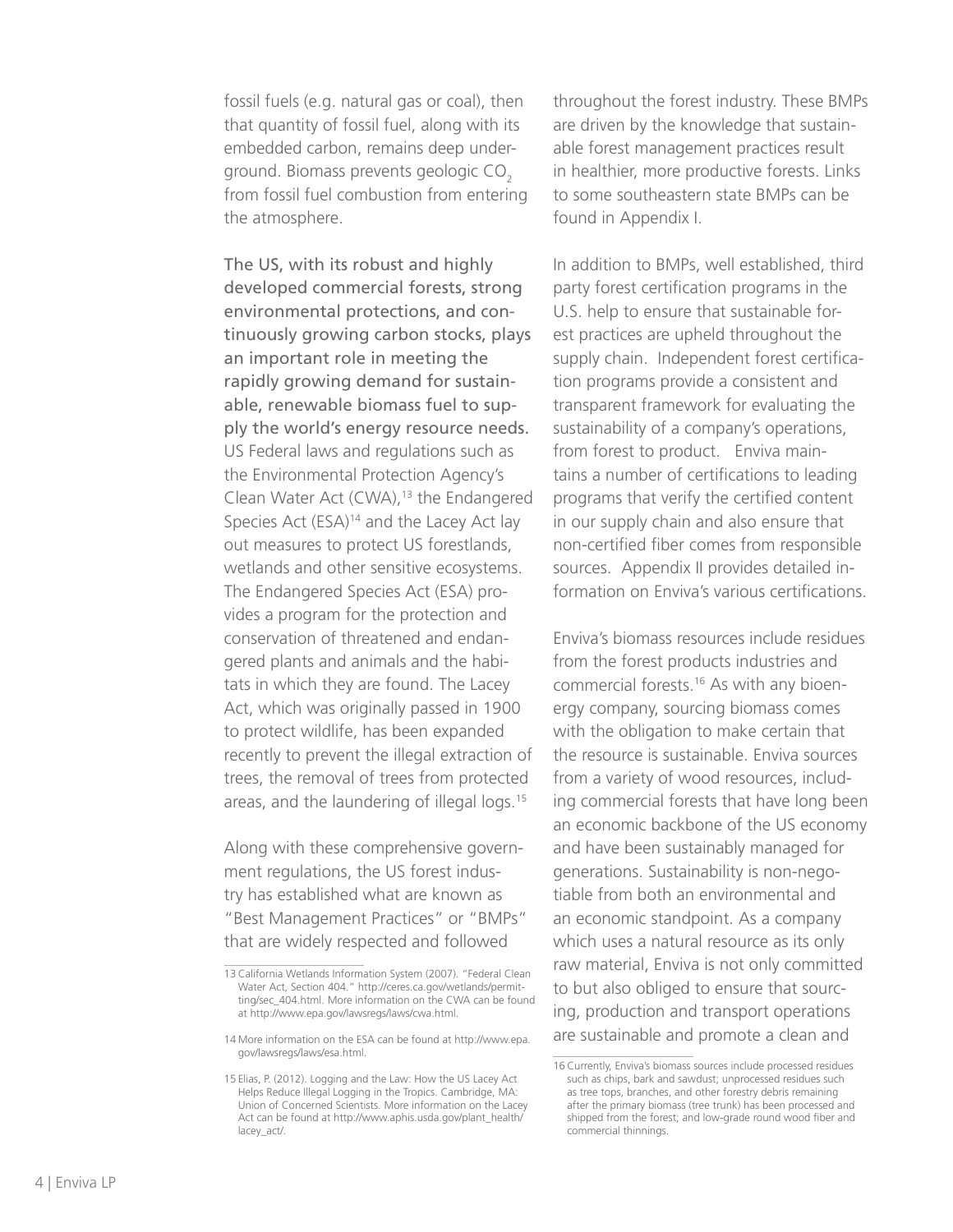fossil fuels (e.g. natural gas or coal), then that quantity of fossil fuel, along with its embedded carbon, remains deep underground. Biomass prevents geologic CO<sub>2</sub> from fossil fuel combustion from entering the atmosphere.

The US, with its robust and highly developed commercial forests, strong environmental protections, and continuously growing carbon stocks, plays an important role in meeting the rapidly growing demand for sustainable, renewable biomass fuel to supply the world's energy resource needs. US Federal laws and regulations such as the Environmental Protection Agency's Clean Water Act (CWA),<sup>13</sup> the Endangered Species Act (ESA)<sup>14</sup> and the Lacey Act lay out measures to protect US forestlands, wetlands and other sensitive ecosystems. The Endangered Species Act (ESA) provides a program for the protection and conservation of threatened and endangered plants and animals and the habitats in which they are found. The Lacey Act, which was originally passed in 1900 to protect wildlife, has been expanded recently to prevent the illegal extraction of trees, the removal of trees from protected areas, and the laundering of illegal logs.15

Along with these comprehensive government regulations, the US forest industry has established what are known as "Best Management Practices" or "BMPs" that are widely respected and followed

throughout the forest industry. These BMPs are driven by the knowledge that sustainable forest management practices result in healthier, more productive forests. Links to some southeastern state BMPs can be found in Appendix I.

In addition to BMPs, well established, third party forest certification programs in the U.S. help to ensure that sustainable forest practices are upheld throughout the supply chain. Independent forest certification programs provide a consistent and transparent framework for evaluating the sustainability of a company's operations, from forest to product. Enviva maintains a number of certifications to leading programs that verify the certified content in our supply chain and also ensure that non-certified fiber comes from responsible sources. Appendix II provides detailed information on Enviva's various certifications.

Enviva's biomass resources include residues from the forest products industries and commercial forests.16 As with any bioenergy company, sourcing biomass comes with the obligation to make certain that the resource is sustainable. Enviva sources from a variety of wood resources, including commercial forests that have long been an economic backbone of the US economy and have been sustainably managed for generations. Sustainability is non-negotiable from both an environmental and an economic standpoint. As a company which uses a natural resource as its only raw material, Enviva is not only committed to but also obliged to ensure that sourcing, production and transport operations are sustainable and promote a clean and

<sup>13</sup> California Wetlands Information System (2007). "Federal Clean Water Act, Section 404." http://ceres.ca.gov/wetlands/permitting/sec\_404.html. More information on the CWA can be found at http://www.epa.gov/lawsregs/laws/cwa.html.

<sup>14</sup> More information on the ESA can be found at http://www.epa. gov/lawsregs/laws/esa.html.

<sup>15</sup> Elias, P. (2012). Logging and the Law: How the US Lacey Act Helps Reduce Illegal Logging in the Tropics. Cambridge, MA: Union of Concerned Scientists. More information on the Lacey Act can be found at http://www.aphis.usda.gov/plant\_health/ lacey\_act/.

<sup>16</sup> Currently, Enviva's biomass sources include processed residues such as chips, bark and sawdust; unprocessed residues such as tree tops, branches, and other forestry debris remaining after the primary biomass (tree trunk) has been processed and shipped from the forest; and low-grade round wood fiber and commercial thinnings.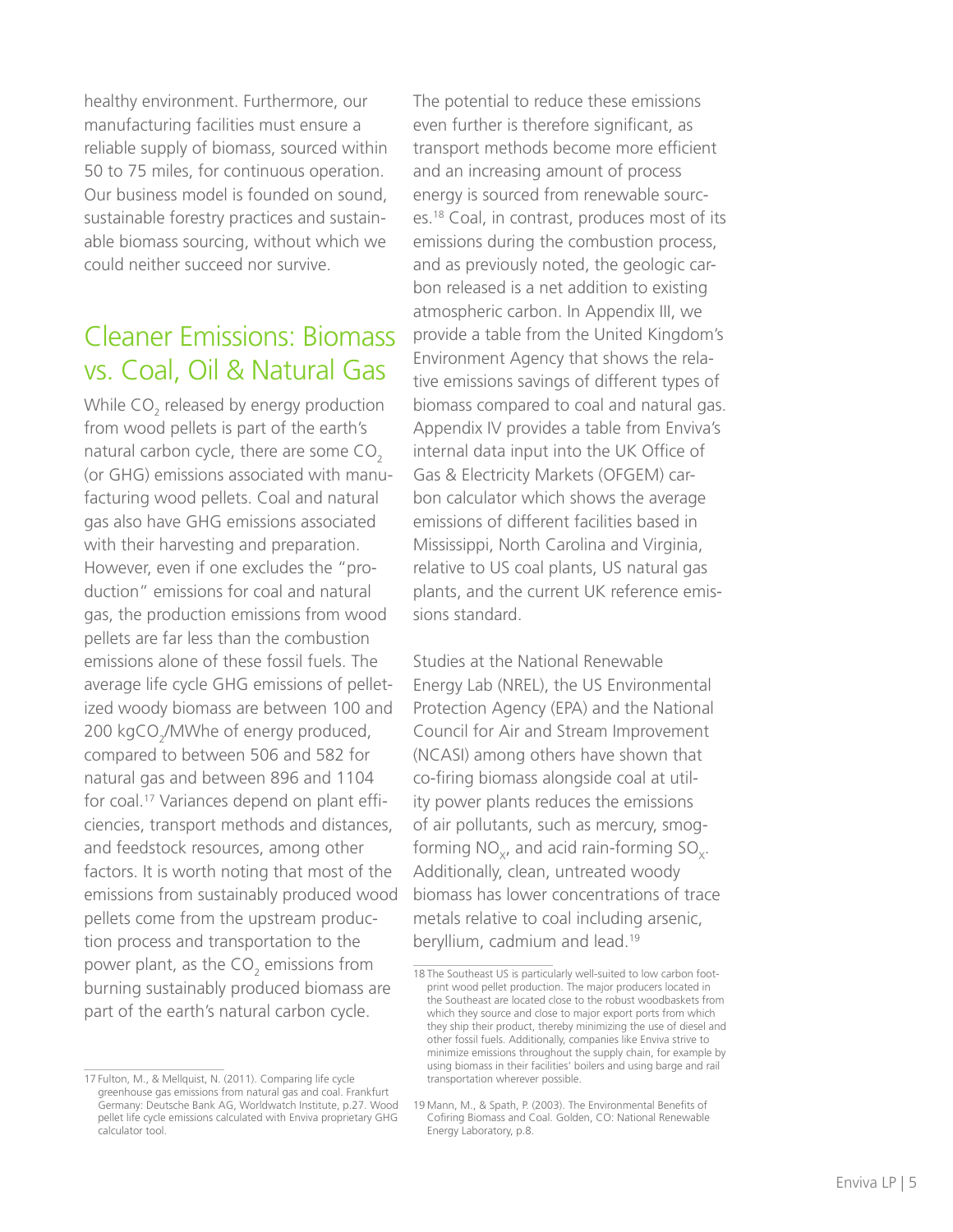healthy environment. Furthermore, our manufacturing facilities must ensure a reliable supply of biomass, sourced within 50 to 75 miles, for continuous operation. Our business model is founded on sound, sustainable forestry practices and sustainable biomass sourcing, without which we could neither succeed nor survive.

### Cleaner Emissions: Biomass vs. Coal, Oil & Natural Gas

While CO<sub>2</sub> released by energy production from wood pellets is part of the earth's natural carbon cycle, there are some  $CO<sub>2</sub>$ (or GHG) emissions associated with manufacturing wood pellets. Coal and natural gas also have GHG emissions associated with their harvesting and preparation. However, even if one excludes the "production" emissions for coal and natural gas, the production emissions from wood pellets are far less than the combustion emissions alone of these fossil fuels. The average life cycle GHG emissions of pelletized woody biomass are between 100 and 200 kgCO<sub>2</sub>/MWhe of energy produced, compared to between 506 and 582 for natural gas and between 896 and 1104 for coal.<sup>17</sup> Variances depend on plant efficiencies, transport methods and distances, and feedstock resources, among other factors. It is worth noting that most of the emissions from sustainably produced wood pellets come from the upstream production process and transportation to the power plant, as the  $\mathsf{CO}_2$  emissions from burning sustainably produced biomass are part of the earth's natural carbon cycle.

The potential to reduce these emissions even further is therefore significant, as transport methods become more efficient and an increasing amount of process energy is sourced from renewable sources.18 Coal, in contrast, produces most of its emissions during the combustion process, and as previously noted, the geologic carbon released is a net addition to existing atmospheric carbon. In Appendix III, we provide a table from the United Kingdom's Environment Agency that shows the relative emissions savings of different types of biomass compared to coal and natural gas. Appendix IV provides a table from Enviva's internal data input into the UK Office of Gas & Electricity Markets (OFGEM) carbon calculator which shows the average emissions of different facilities based in Mississippi, North Carolina and Virginia, relative to US coal plants, US natural gas plants, and the current UK reference emissions standard.

Studies at the National Renewable Energy Lab (NREL), the US Environmental Protection Agency (EPA) and the National Council for Air and Stream Improvement (NCASI) among others have shown that co-firing biomass alongside coal at utility power plants reduces the emissions of air pollutants, such as mercury, smogforming  $NO_{v}$ , and acid rain-forming  $SO_{v}$ . Additionally, clean, untreated woody biomass has lower concentrations of trace metals relative to coal including arsenic, beryllium, cadmium and lead.19

<sup>17</sup> Fulton, M., & Mellquist, N. (2011). Comparing life cycle greenhouse gas emissions from natural gas and coal. Frankfurt Germany: Deutsche Bank AG, Worldwatch Institute, p.27. Wood pellet life cycle emissions calculated with Enviva proprietary GHG calculator tool.

<sup>18</sup> The Southeast US is particularly well-suited to low carbon footprint wood pellet production. The major producers located in the Southeast are located close to the robust woodbaskets from which they source and close to major export ports from which they ship their product, thereby minimizing the use of diesel and other fossil fuels. Additionally, companies like Enviva strive to minimize emissions throughout the supply chain, for example by using biomass in their facilities' boilers and using barge and rail transportation wherever possible.

<sup>19</sup> Mann, M., & Spath, P. (2003). The Environmental Benefits of Cofiring Biomass and Coal. Golden, CO: National Renewable Energy Laboratory, p.8.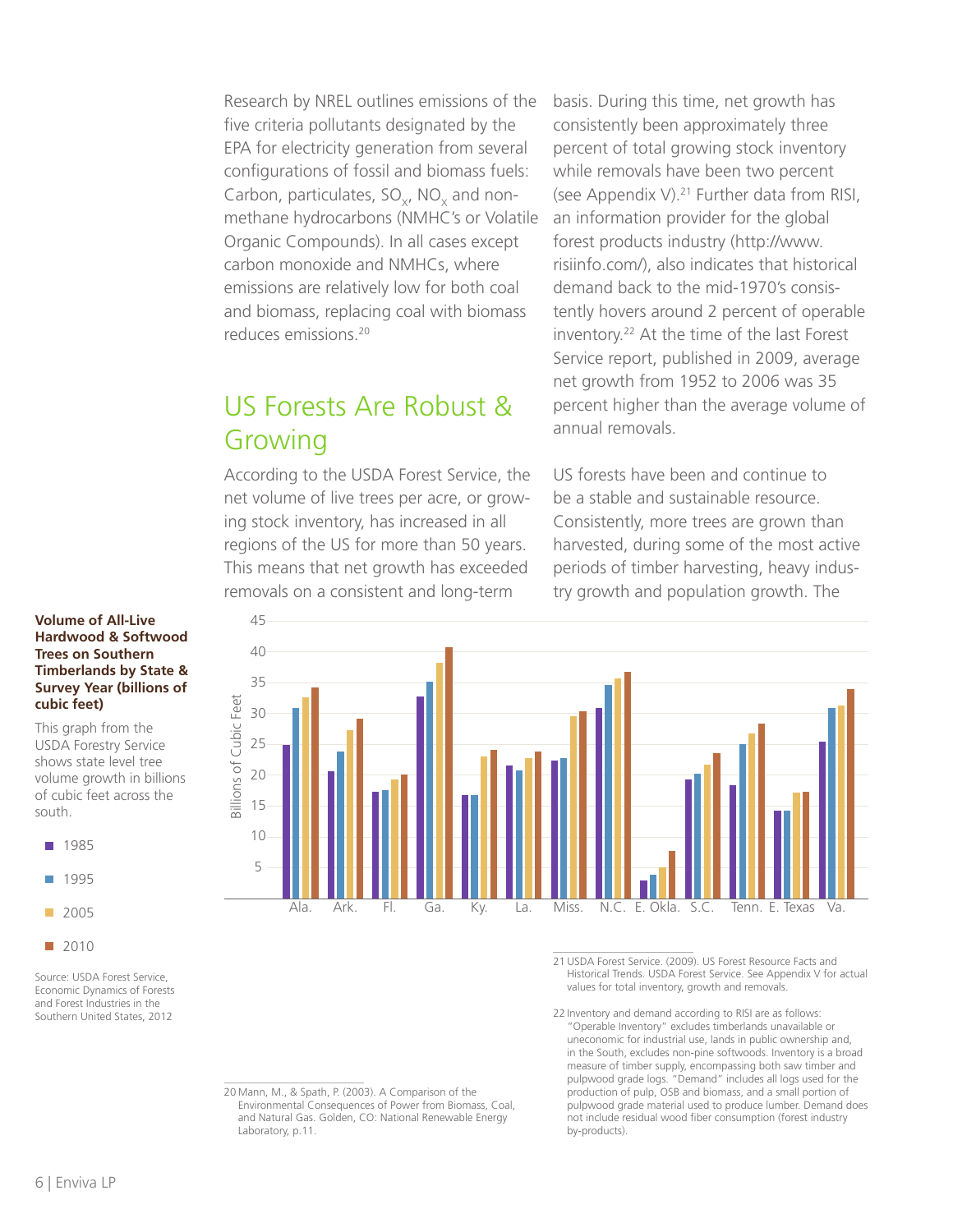Research by NREL outlines emissions of the five criteria pollutants designated by the EPA for electricity generation from several configurations of fossil and biomass fuels: Carbon, particulates,  $SO_{x}$ , NO<sub>x</sub> and nonmethane hydrocarbons (NMHC's or Volatile Organic Compounds). In all cases except carbon monoxide and NMHCs, where emissions are relatively low for both coal and biomass, replacing coal with biomass reduces emissions.20

## US Forests Are Robust & Growing

According to the USDA Forest Service, the net volume of live trees per acre, or growing stock inventory, has increased in all regions of the US for more than 50 years. This means that net growth has exceeded removals on a consistent and long-term

basis. During this time, net growth has consistently been approximately three percent of total growing stock inventory while removals have been two percent (see Appendix V). $21$  Further data from RISI, an information provider for the global forest products industry (http://www. risiinfo.com/), also indicates that historical demand back to the mid-1970's consistently hovers around 2 percent of operable inventory.22 At the time of the last Forest Service report, published in 2009, average net growth from 1952 to 2006 was 35 percent higher than the average volume of annual removals.

US forests have been and continue to be a stable and sustainable resource. Consistently, more trees are grown than harvested, during some of the most active periods of timber harvesting, heavy industry growth and population growth. The

#### **Volume of All-Live Hardwood & Softwood Trees on Southern Timberlands by State & Survey Year (billions of cubic feet)**

This graph from the USDA Forestry Service shows state level tree volume growth in billions of cubic feet across the south.



■ 2010

Source: USDA Forest Service, Economic Dynamics of Forests and Forest Industries in the Southern United States, 2012



21 USDA Forest Service. (2009). US Forest Resource Facts and Historical Trends. USDA Forest Service. See Appendix V for actual values for total inventory, growth and removals.

22 Inventory and demand according to RISI are as follows: "Operable Inventory" excludes timberlands unavailable or uneconomic for industrial use, lands in public ownership and, in the South, excludes non-pine softwoods. Inventory is a broad measure of timber supply, encompassing both saw timber and pulpwood grade logs. "Demand" includes all logs used for the production of pulp, OSB and biomass, and a small portion of pulpwood grade material used to produce lumber. Demand does not include residual wood fiber consumption (forest industry by-products).

20 Mann, M., & Spath, P. (2003). A Comparison of the Environmental Consequences of Power from Biomass, Coal, and Natural Gas. Golden, CO: National Renewable Energy Laboratory, p.11.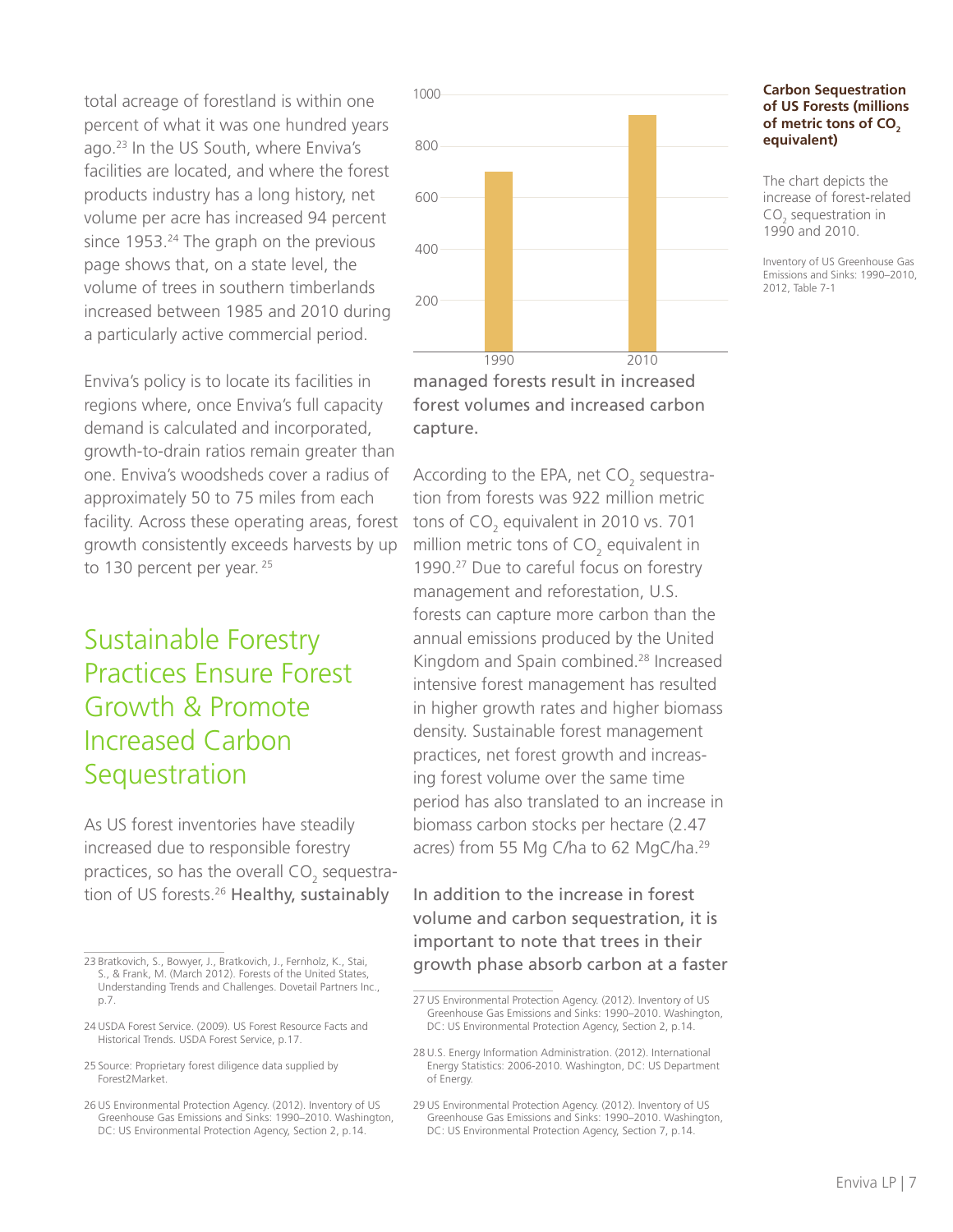total acreage of forestland is within one percent of what it was one hundred years ago.23 In the US South, where Enviva's facilities are located, and where the forest products industry has a long history, net volume per acre has increased 94 percent since 1953.<sup>24</sup> The graph on the previous page shows that, on a state level, the volume of trees in southern timberlands increased between 1985 and 2010 during a particularly active commercial period.

Enviva's policy is to locate its facilities in regions where, once Enviva's full capacity demand is calculated and incorporated, growth-to-drain ratios remain greater than one. Enviva's woodsheds cover a radius of approximately 50 to 75 miles from each facility. Across these operating areas, forest growth consistently exceeds harvests by up to 130 percent per year. 25

## Sustainable Forestry Practices Ensure Forest Growth & Promote Increased Carbon **Sequestration**

As US forest inventories have steadily increased due to responsible forestry practices, so has the overall  $\mathsf{CO}_2$  sequestration of US forests.<sup>26</sup> Healthy, sustainably



forest volumes and increased carbon capture.

According to the EPA, net CO<sub>2</sub> sequestration from forests was 922 million metric tons of CO<sub>2</sub> equivalent in 2010 vs. 701 million metric tons of CO<sub>2</sub> equivalent in 1990.27 Due to careful focus on forestry management and reforestation, U.S. forests can capture more carbon than the annual emissions produced by the United Kingdom and Spain combined.28 Increased intensive forest management has resulted in higher growth rates and higher biomass density. Sustainable forest management practices, net forest growth and increasing forest volume over the same time period has also translated to an increase in biomass carbon stocks per hectare (2.47 acres) from 55 Mg C/ha to 62 MgC/ha.29

In addition to the increase in forest volume and carbon sequestration, it is important to note that trees in their growth phase absorb carbon at a faster

#### **Carbon Sequestration of US Forests (millions**  of metric tons of CO<sub>2</sub> **equivalent)**

The chart depicts the increase of forest-related  $\mathsf{CO}_2$  sequestration in 1990 and 2010.

Inventory of US Greenhouse Gas Emissions and Sinks: 1990–2010, 2012, Table 7-1

<sup>23</sup> Bratkovich, S., Bowyer, J., Bratkovich, J., Fernholz, K., Stai, S., & Frank, M. (March 2012). Forests of the United States, Understanding Trends and Challenges. Dovetail Partners Inc., p.7.

<sup>24</sup> USDA Forest Service. (2009). US Forest Resource Facts and Historical Trends. USDA Forest Service, p.17.

<sup>25</sup> Source: Proprietary forest diligence data supplied by Forest2Market.

<sup>26</sup> US Environmental Protection Agency. (2012). Inventory of US Greenhouse Gas Emissions and Sinks: 1990–2010. Washington, DC: US Environmental Protection Agency, Section 2, p.14.

<sup>27</sup> US Environmental Protection Agency. (2012). Inventory of US Greenhouse Gas Emissions and Sinks: 1990–2010. Washington, DC: US Environmental Protection Agency, Section 2, p.14.

<sup>28</sup> U.S. Energy Information Administration. (2012). International Energy Statistics: 2006-2010. Washington, DC: US Department of Energy.

<sup>29</sup> US Environmental Protection Agency. (2012). Inventory of US Greenhouse Gas Emissions and Sinks: 1990–2010. Washington, DC: US Environmental Protection Agency, Section 7, p.14.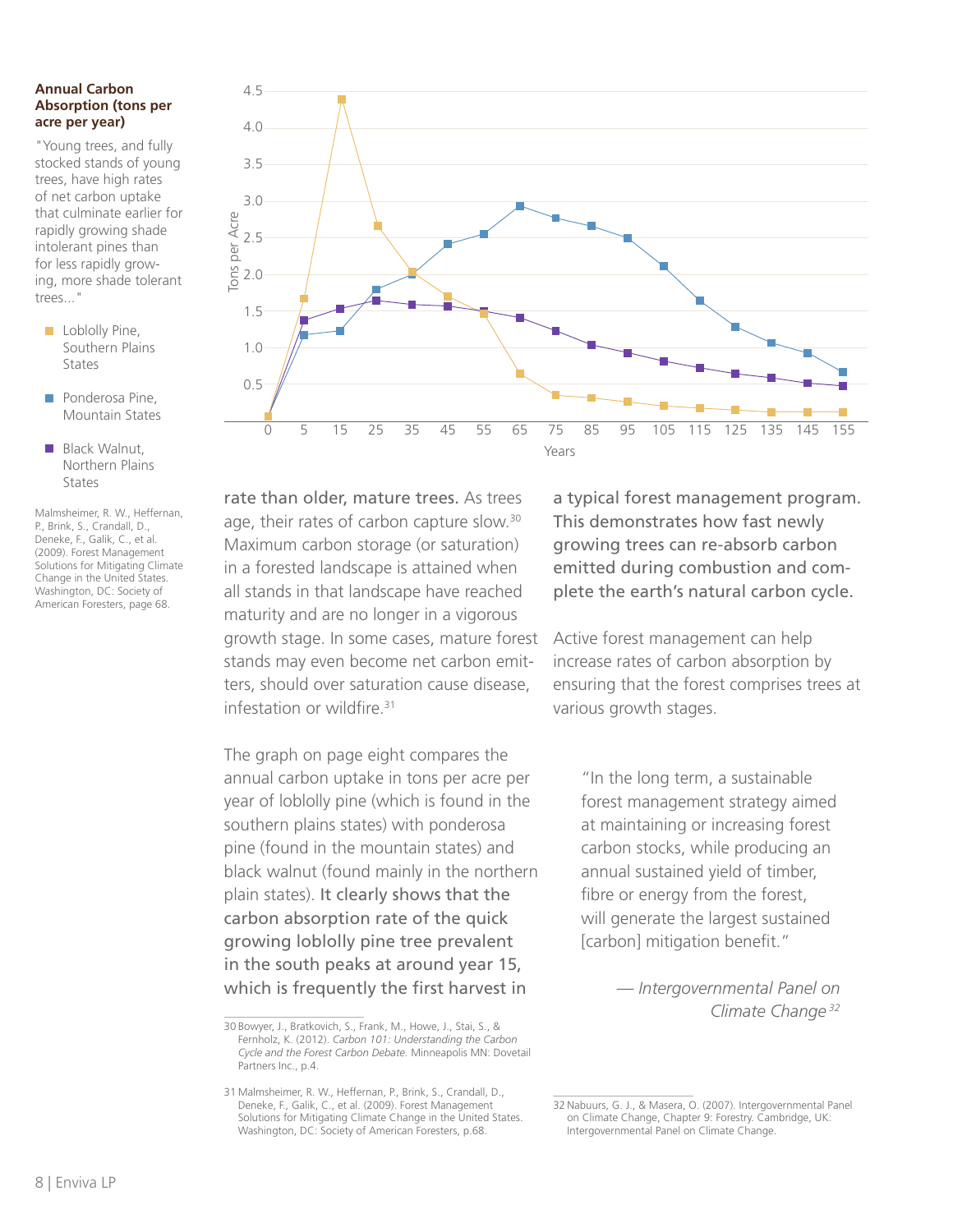#### **Annual Carbon Absorption (tons per acre per year)**

"Young trees, and fully stocked stands of young trees, have high rates of net carbon uptake that culminate earlier for rapidly growing shade intolerant pines than for less rapidly growing, more shade tolerant trees..."

- **Loblolly Pine,** Southern Plains States
- **Ponderosa Pine.** Mountain States
- **Black Walnut.** Northern Plains States

Malmsheimer, R. W., Heffernan, P., Brink, S., Crandall, D., Deneke, F., Galik, C., et al. (2009). Forest Management Solutions for Mitigating Climate Change in the United States. Washington, DC: Society of American Foresters, page 68.



rate than older, mature trees. As trees age, their rates of carbon capture slow.<sup>30</sup> Maximum carbon storage (or saturation) in a forested landscape is attained when all stands in that landscape have reached maturity and are no longer in a vigorous growth stage. In some cases, mature forest stands may even become net carbon emitters, should over saturation cause disease, infestation or wildfire.31

The graph on page eight compares the annual carbon uptake in tons per acre per year of loblolly pine (which is found in the southern plains states) with ponderosa pine (found in the mountain states) and black walnut (found mainly in the northern plain states). It clearly shows that the carbon absorption rate of the quick growing loblolly pine tree prevalent in the south peaks at around year 15, which is frequently the first harvest in

a typical forest management program. This demonstrates how fast newly growing trees can re-absorb carbon emitted during combustion and complete the earth's natural carbon cycle.

Active forest management can help increase rates of carbon absorption by ensuring that the forest comprises trees at various growth stages.

"In the long term, a sustainable forest management strategy aimed at maintaining or increasing forest carbon stocks, while producing an annual sustained yield of timber, fibre or energy from the forest, will generate the largest sustained [carbon] mitigation benefit."

> *— Intergovernmental Panel on Climate Change <sup>32</sup>*

<sup>30</sup> Bowyer, J., Bratkovich, S., Frank, M., Howe, J., Stai, S., & Fernholz, K. (2012). *Carbon 101: Understanding the Carbon Cycle and the Forest Carbon Debate.* Minneapolis MN: Dovetail Partners Inc., p.4.

<sup>31</sup> Malmsheimer, R. W., Heffernan, P., Brink, S., Crandall, D., Deneke, F., Galik, C., et al. (2009). Forest Management Solutions for Mitigating Climate Change in the United States. Washington, DC: Society of American Foresters, p.68.

<sup>32</sup> Nabuurs, G. J., & Masera, O. (2007). Intergovernmental Panel on Climate Change, Chapter 9: Forestry. Cambridge, UK: Intergovernmental Panel on Climate Change.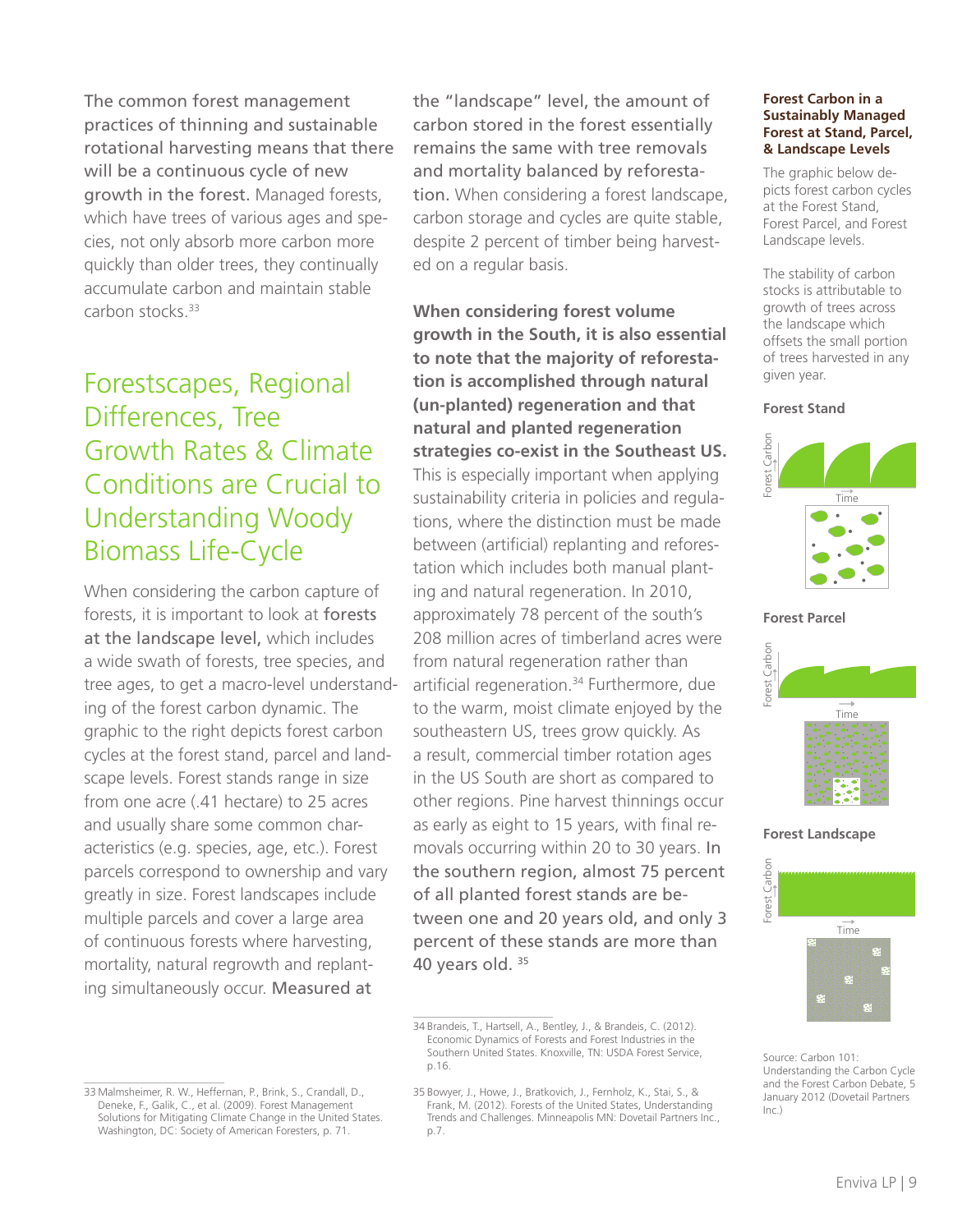The common forest management practices of thinning and sustainable rotational harvesting means that there will be a continuous cycle of new growth in the forest. Managed forests, which have trees of various ages and species, not only absorb more carbon more quickly than older trees, they continually accumulate carbon and maintain stable carbon stocks.33

# Forestscapes, Regional Differences, Tree Growth Rates & Climate Conditions are Crucial to Understanding Woody Biomass Life-Cycle

When considering the carbon capture of forests, it is important to look at forests at the landscape level, which includes a wide swath of forests, tree species, and tree ages, to get a macro-level understanding of the forest carbon dynamic. The graphic to the right depicts forest carbon cycles at the forest stand, parcel and landscape levels. Forest stands range in size from one acre (.41 hectare) to 25 acres and usually share some common characteristics (e.g. species, age, etc.). Forest parcels correspond to ownership and vary greatly in size. Forest landscapes include multiple parcels and cover a large area of continuous forests where harvesting, mortality, natural regrowth and replanting simultaneously occur. Measured at

the "landscape" level, the amount of carbon stored in the forest essentially remains the same with tree removals and mortality balanced by reforestation. When considering a forest landscape, carbon storage and cycles are quite stable, despite 2 percent of timber being harvested on a regular basis.

**When considering forest volume growth in the South, it is also essential to note that the majority of reforestation is accomplished through natural (un-planted) regeneration and that natural and planted regeneration strategies co-exist in the Southeast US.**  This is especially important when applying sustainability criteria in policies and regulations, where the distinction must be made between (artificial) replanting and reforestation which includes both manual planting and natural regeneration. In 2010, approximately 78 percent of the south's 208 million acres of timberland acres were from natural regeneration rather than artificial regeneration.<sup>34</sup> Furthermore, due to the warm, moist climate enjoyed by the southeastern US, trees grow quickly. As a result, commercial timber rotation ages in the US South are short as compared to other regions. Pine harvest thinnings occur as early as eight to 15 years, with final removals occurring within 20 to 30 years. In the southern region, almost 75 percent of all planted forest stands are between one and 20 years old, and only 3 percent of these stands are more than 40 years old. 35

#### **Forest Carbon in a Sustainably Managed Forest at Stand, Parcel, & Landscape Levels**

The graphic below depicts forest carbon cycles at the Forest Stand, Forest Parcel, and Forest Landscape levels.

The stability of carbon stocks is attributable to growth of trees across the landscape which offsets the small portion of trees harvested in any given year.

#### **Forest Stand**



**Forest Parcel**



**Forest Landscape**



Source: Carbon 101: Understanding the Carbon Cycle and the Forest Carbon Debate, 5 January 2012 (Dovetail Partners  $Inc$ )

<sup>33</sup> Malmsheimer, R. W., Heffernan, P., Brink, S., Crandall, D., Deneke, F., Galik, C., et al. (2009). Forest Management Solutions for Mitigating Climate Change in the United States. Washington, DC: Society of American Foresters, p. 71.

<sup>34</sup> Brandeis, T., Hartsell, A., Bentley, J., & Brandeis, C. (2012). Economic Dynamics of Forests and Forest Industries in the Southern United States. Knoxville, TN: USDA Forest Service, p.16.

<sup>35</sup> Bowyer, J., Howe, J., Bratkovich, J., Fernholz, K., Stai, S., & Frank, M. (2012). Forests of the United States, Understanding Trends and Challenges. Minneapolis MN: Dovetail Partners Inc., p.7.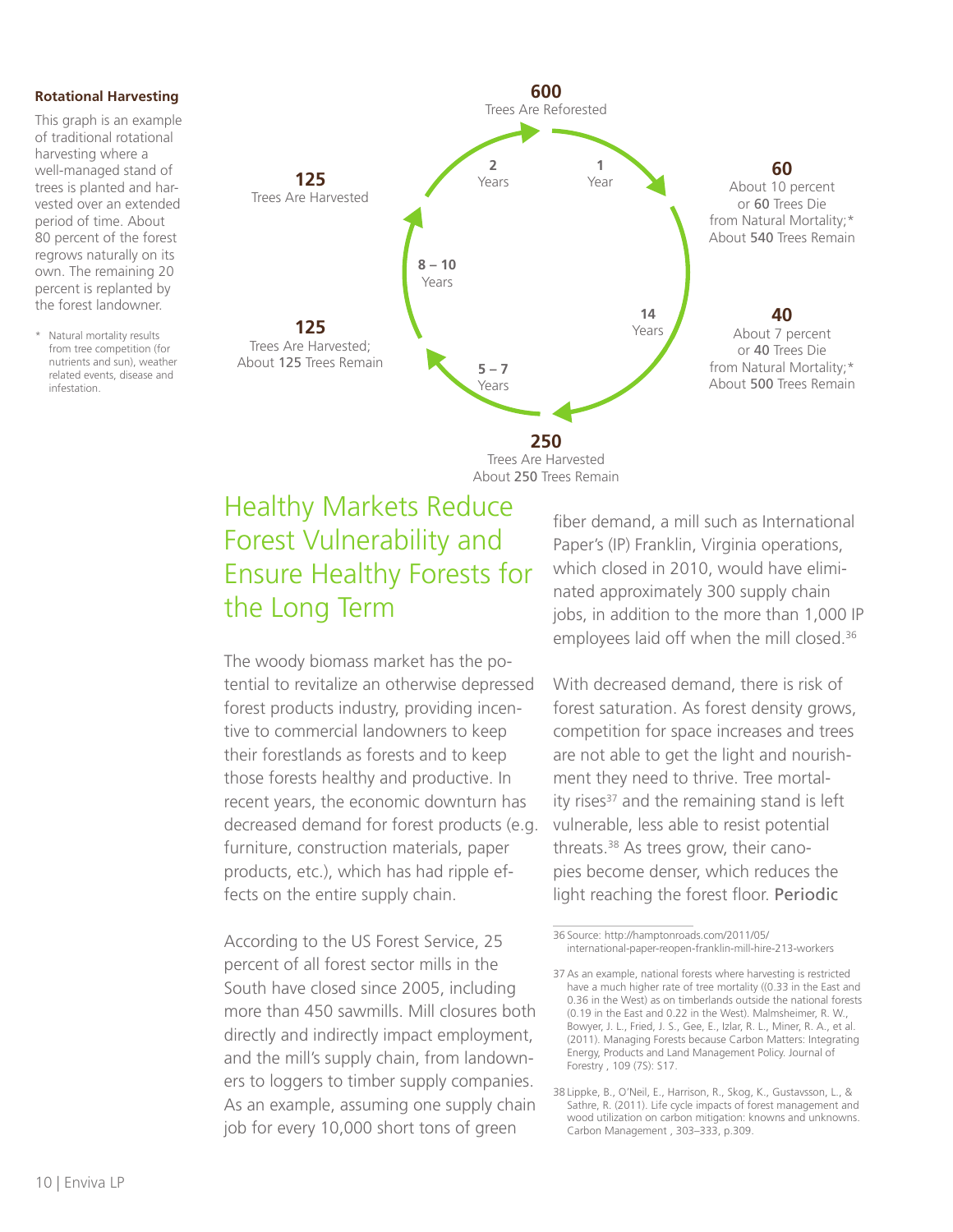#### **Rotational Harvesting**

This graph is an example of traditional rotational harvesting where a well-managed stand of trees is planted and harvested over an extended period of time. About 80 percent of the forest regrows naturally on its own. The remaining 20 percent is replanted by the forest landowner.

\* Natural mortality results from tree competition (for nutrients and sun), weather related events, disease and infestation.



Trees Are Harvested About 250 Trees Remain

### Healthy Markets Reduce Forest Vulnerability and Ensure Healthy Forests for the Long Term

The woody biomass market has the potential to revitalize an otherwise depressed forest products industry, providing incentive to commercial landowners to keep their forestlands as forests and to keep those forests healthy and productive. In recent years, the economic downturn has decreased demand for forest products (e.g. furniture, construction materials, paper products, etc.), which has had ripple effects on the entire supply chain.

According to the US Forest Service, 25 percent of all forest sector mills in the South have closed since 2005, including more than 450 sawmills. Mill closures both directly and indirectly impact employment, and the mill's supply chain, from landowners to loggers to timber supply companies. As an example, assuming one supply chain job for every 10,000 short tons of green

fiber demand, a mill such as International Paper's (IP) Franklin, Virginia operations, which closed in 2010, would have eliminated approximately 300 supply chain jobs, in addition to the more than 1,000 IP employees laid off when the mill closed.<sup>36</sup>

With decreased demand, there is risk of forest saturation. As forest density grows, competition for space increases and trees are not able to get the light and nourishment they need to thrive. Tree mortality rises $37$  and the remaining stand is left vulnerable, less able to resist potential threats.38 As trees grow, their canopies become denser, which reduces the light reaching the forest floor. Periodic

<sup>36</sup> Source: http://hamptonroads.com/2011/05/ international-paper-reopen-franklin-mill-hire-213-workers

<sup>37</sup> As an example, national forests where harvesting is restricted have a much higher rate of tree mortality ((0.33 in the East and 0.36 in the West) as on timberlands outside the national forests (0.19 in the East and 0.22 in the West). Malmsheimer, R. W., Bowyer, J. L., Fried, J. S., Gee, E., Izlar, R. L., Miner, R. A., et al. (2011). Managing Forests because Carbon Matters: Integrating Energy, Products and Land Management Policy. Journal of Forestry , 109 (7S): S17.

<sup>38</sup> Lippke, B., O'Neil, E., Harrison, R., Skog, K., Gustavsson, L., & Sathre, R. (2011). Life cycle impacts of forest management and wood utilization on carbon mitigation: knowns and unknowns. Carbon Management , 303–333, p.309.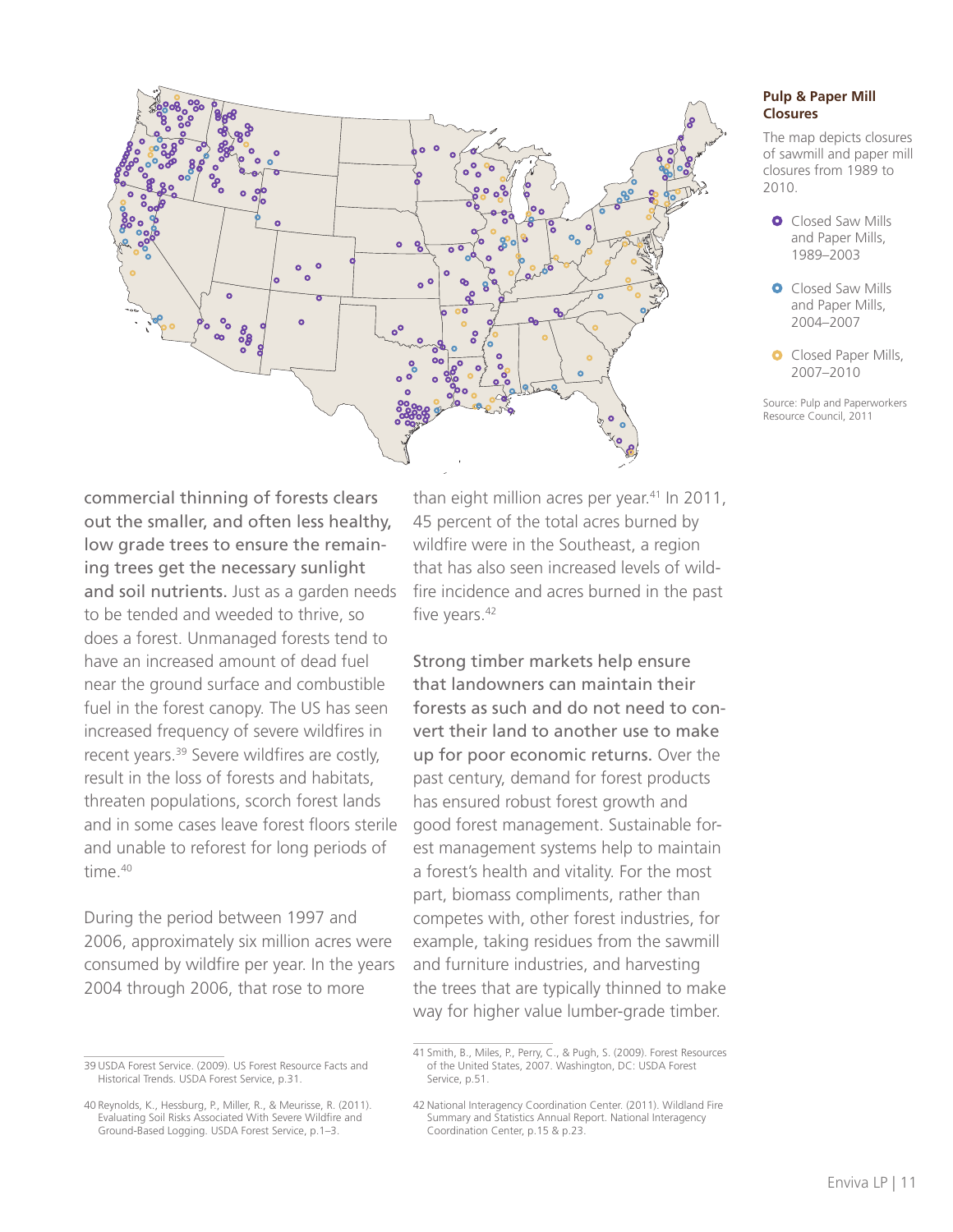

#### **Pulp & Paper Mill Closures**

The map depicts closures of sawmill and paper mill closures from 1989 to 2010.

**O** Closed Saw Mills and Paper Mills, 1989–2003

**O** Closed Saw Mills and Paper Mills, 2004–2007

**O** Closed Paper Mills, 2007–2010

Source: Pulp and Paperworkers Resource Council, 2011

commercial thinning of forests clears out the smaller, and often less healthy, low grade trees to ensure the remaining trees get the necessary sunlight and soil nutrients. Just as a garden needs to be tended and weeded to thrive, so does a forest. Unmanaged forests tend to have an increased amount of dead fuel near the ground surface and combustible fuel in the forest canopy. The US has seen increased frequency of severe wildfires in recent years.39 Severe wildfires are costly, result in the loss of forests and habitats, threaten populations, scorch forest lands and in some cases leave forest floors sterile and unable to reforest for long periods of time.40

During the period between 1997 and 2006, approximately six million acres were consumed by wildfire per year. In the years 2004 through 2006, that rose to more

than eight million acres per year.<sup>41</sup> In 2011, 45 percent of the total acres burned by wildfire were in the Southeast, a region that has also seen increased levels of wildfire incidence and acres burned in the past five years.<sup>42</sup>

Strong timber markets help ensure that landowners can maintain their forests as such and do not need to convert their land to another use to make up for poor economic returns. Over the past century, demand for forest products has ensured robust forest growth and good forest management. Sustainable forest management systems help to maintain a forest's health and vitality. For the most part, biomass compliments, rather than competes with, other forest industries, for example, taking residues from the sawmill and furniture industries, and harvesting the trees that are typically thinned to make way for higher value lumber-grade timber.

<sup>39</sup> USDA Forest Service. (2009). US Forest Resource Facts and Historical Trends. USDA Forest Service, p.31.

<sup>40</sup> Reynolds, K., Hessburg, P., Miller, R., & Meurisse, R. (2011). Evaluating Soil Risks Associated With Severe Wildfire and Ground-Based Logging. USDA Forest Service, p.1–3.

<sup>41</sup> Smith, B., Miles, P., Perry, C., & Pugh, S. (2009). Forest Resources of the United States, 2007. Washington, DC: USDA Forest Service, p.51.

<sup>42</sup> National Interagency Coordination Center. (2011). Wildland Fire Summary and Statistics Annual Report. National Interagency Coordination Center, p.15 & p.23.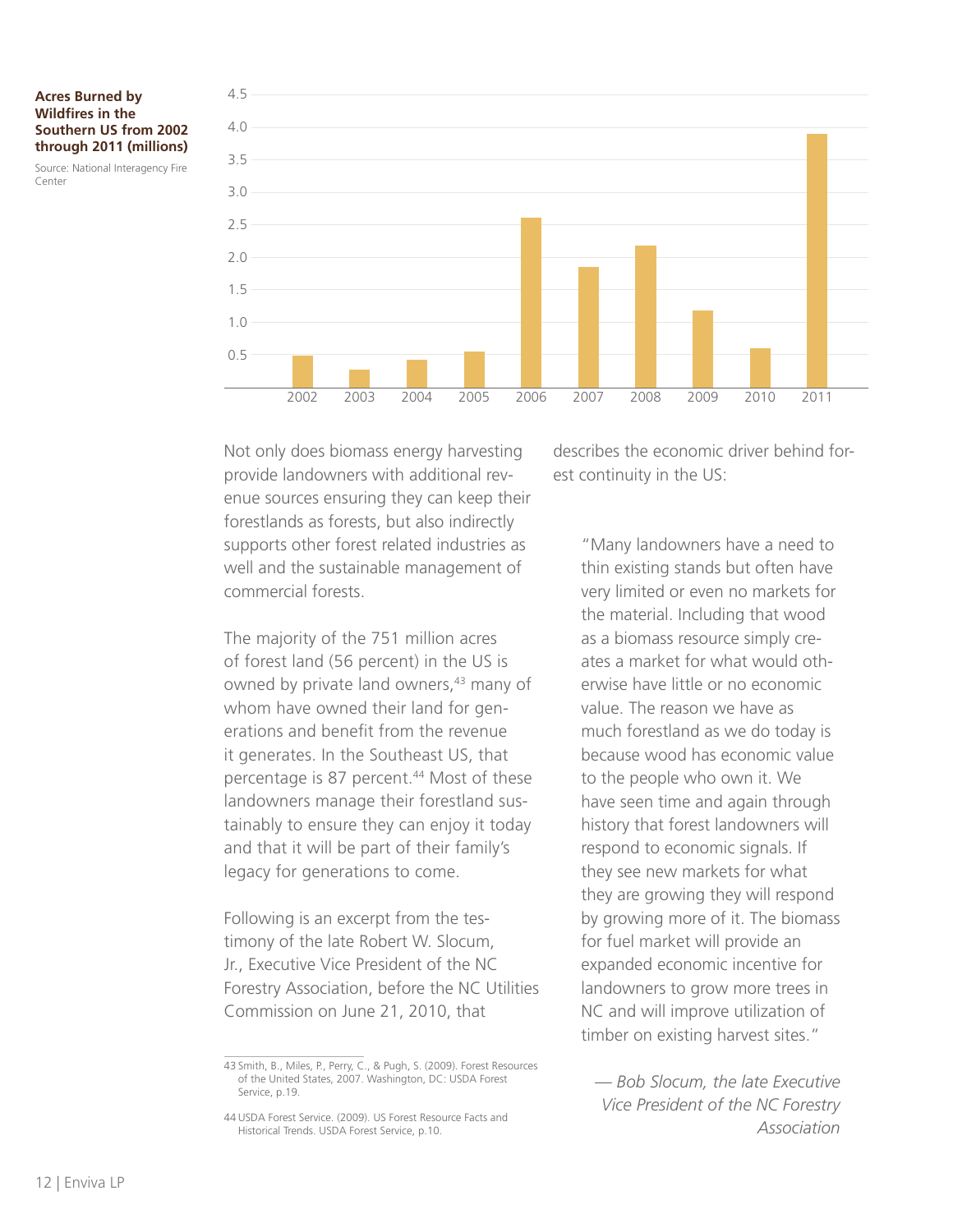#### **Acres Burned by Wildfires in the Southern US from 2002 through 2011 (millions)**

Source: National Interagency Fire Center



Not only does biomass energy harvesting provide landowners with additional revenue sources ensuring they can keep their forestlands as forests, but also indirectly supports other forest related industries as well and the sustainable management of commercial forests.

The majority of the 751 million acres of forest land (56 percent) in the US is owned by private land owners,<sup>43</sup> many of whom have owned their land for generations and benefit from the revenue it generates. In the Southeast US, that percentage is 87 percent.<sup>44</sup> Most of these landowners manage their forestland sustainably to ensure they can enjoy it today and that it will be part of their family's legacy for generations to come.

Following is an excerpt from the testimony of the late Robert W. Slocum, Jr., Executive Vice President of the NC Forestry Association, before the NC Utilities Commission on June 21, 2010, that

describes the economic driver behind forest continuity in the US:

"Many landowners have a need to thin existing stands but often have very limited or even no markets for the material. Including that wood as a biomass resource simply creates a market for what would otherwise have little or no economic value. The reason we have as much forestland as we do today is because wood has economic value to the people who own it. We have seen time and again through history that forest landowners will respond to economic signals. If they see new markets for what they are growing they will respond by growing more of it. The biomass for fuel market will provide an expanded economic incentive for landowners to grow more trees in NC and will improve utilization of timber on existing harvest sites."

*— Bob Slocum, the late Executive Vice President of the NC Forestry Association*

<sup>43</sup> Smith, B., Miles, P., Perry, C., & Pugh, S. (2009). Forest Resources of the United States, 2007. Washington, DC: USDA Forest Service, p.19.

<sup>44</sup> USDA Forest Service. (2009). US Forest Resource Facts and Historical Trends. USDA Forest Service, p.10.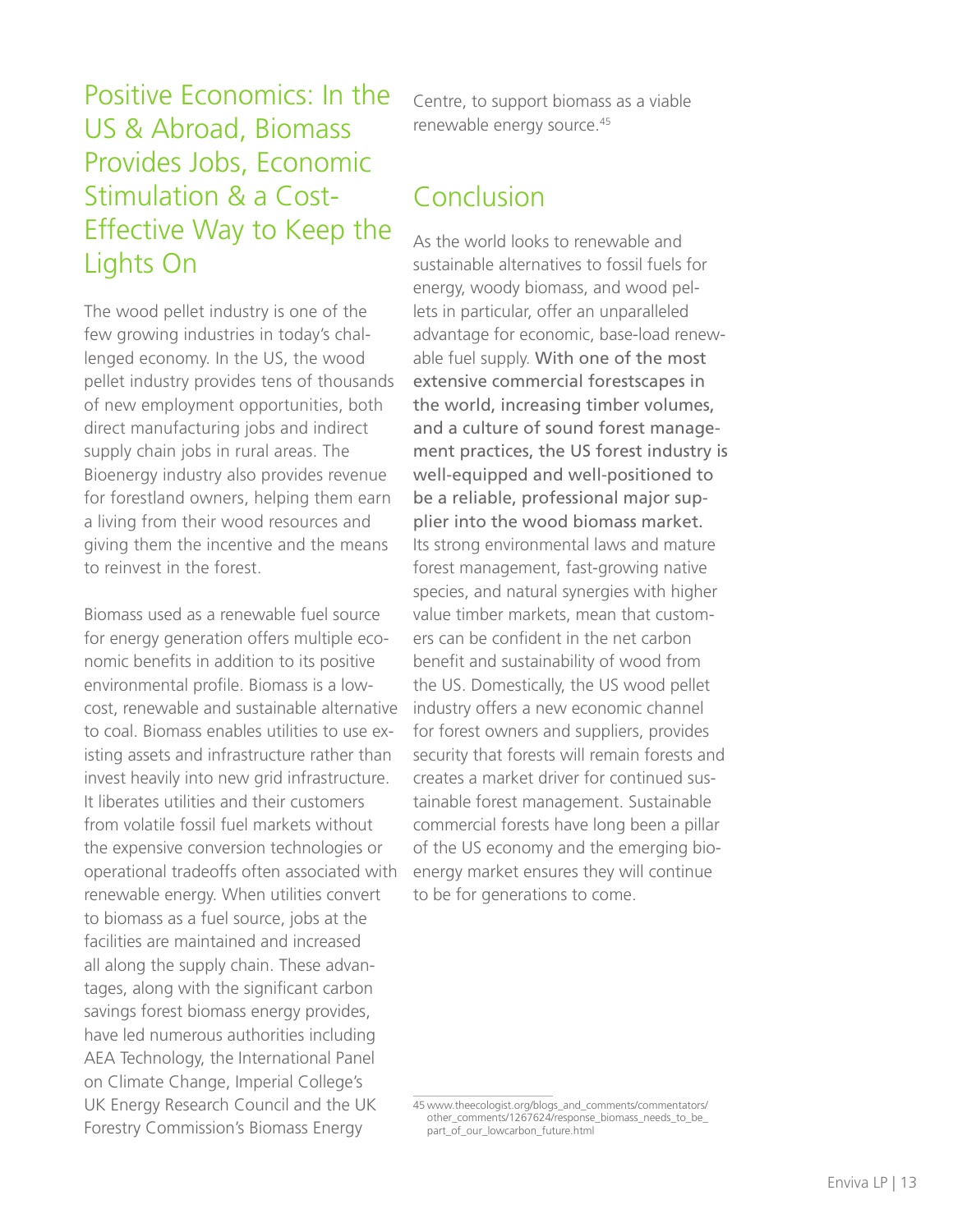# Positive Economics: In the US & Abroad, Biomass Provides Jobs, Economic Stimulation & a Cost-Effective Way to Keep the Lights On

The wood pellet industry is one of the few growing industries in today's challenged economy. In the US, the wood pellet industry provides tens of thousands of new employment opportunities, both direct manufacturing jobs and indirect supply chain jobs in rural areas. The Bioenergy industry also provides revenue for forestland owners, helping them earn a living from their wood resources and giving them the incentive and the means to reinvest in the forest.

Biomass used as a renewable fuel source for energy generation offers multiple economic benefits in addition to its positive environmental profile. Biomass is a lowcost, renewable and sustainable alternative to coal. Biomass enables utilities to use existing assets and infrastructure rather than invest heavily into new grid infrastructure. It liberates utilities and their customers from volatile fossil fuel markets without the expensive conversion technologies or operational tradeoffs often associated with renewable energy. When utilities convert to biomass as a fuel source, jobs at the facilities are maintained and increased all along the supply chain. These advantages, along with the significant carbon savings forest biomass energy provides, have led numerous authorities including AEA Technology, the International Panel on Climate Change, Imperial College's UK Energy Research Council and the UK Forestry Commission's Biomass Energy

Centre, to support biomass as a viable renewable energy source.45

# Conclusion

As the world looks to renewable and sustainable alternatives to fossil fuels for energy, woody biomass, and wood pellets in particular, offer an unparalleled advantage for economic, base-load renewable fuel supply. With one of the most extensive commercial forestscapes in the world, increasing timber volumes, and a culture of sound forest management practices, the US forest industry is well-equipped and well-positioned to be a reliable, professional major supplier into the wood biomass market. Its strong environmental laws and mature forest management, fast-growing native species, and natural synergies with higher value timber markets, mean that customers can be confident in the net carbon benefit and sustainability of wood from the US. Domestically, the US wood pellet industry offers a new economic channel for forest owners and suppliers, provides security that forests will remain forests and creates a market driver for continued sustainable forest management. Sustainable commercial forests have long been a pillar of the US economy and the emerging bioenergy market ensures they will continue to be for generations to come.

<sup>45</sup> www.theecologist.org/blogs\_and\_comments/commentators/ other\_comments/1267624/response\_biomass\_needs\_to\_be\_ part\_of\_our\_lowcarbon\_future.html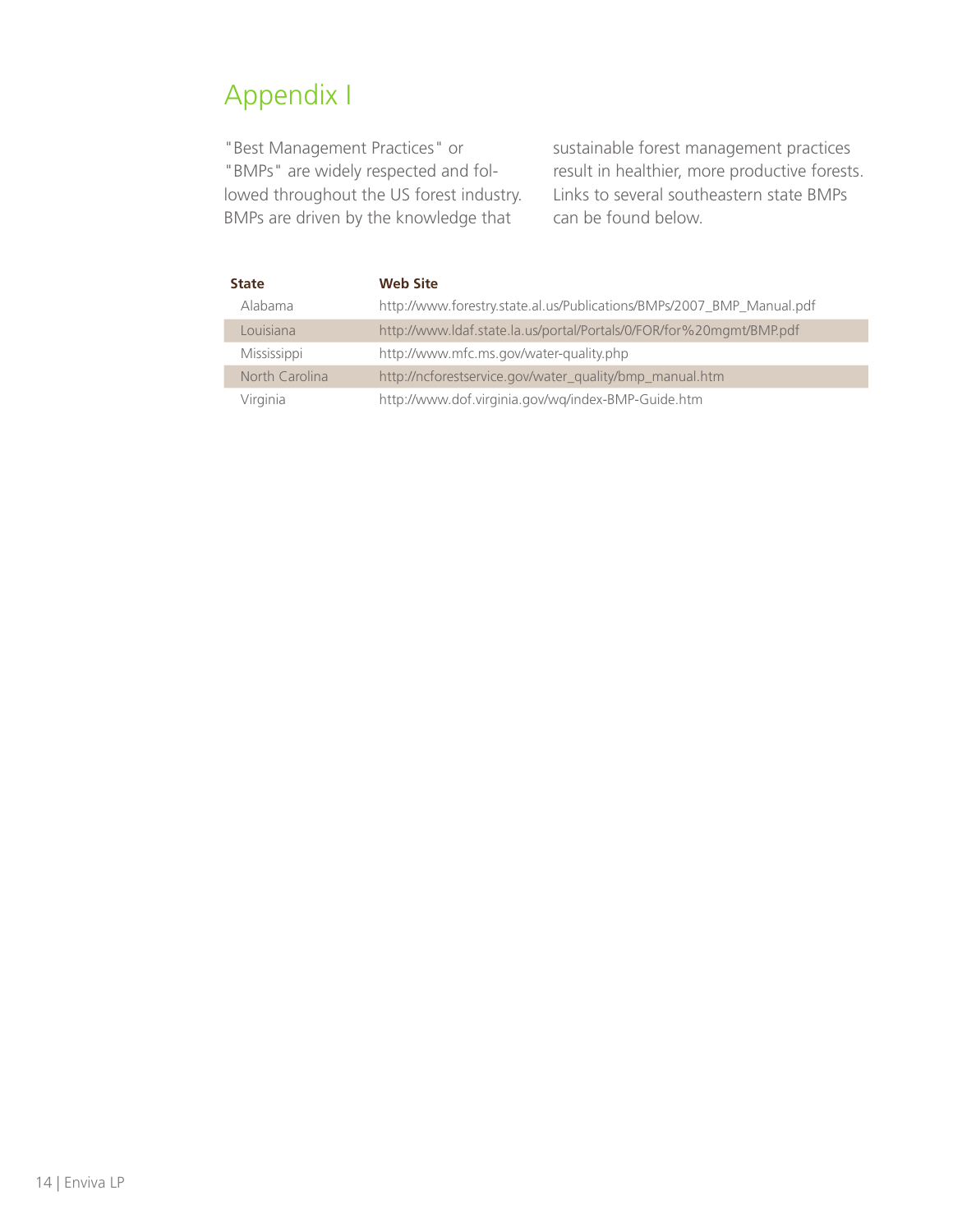# Appendix I

"Best Management Practices" or "BMPs" are widely respected and followed throughout the US forest industry. BMPs are driven by the knowledge that

sustainable forest management practices result in healthier, more productive forests. Links to several southeastern state BMPs can be found below.

| <b>State</b>   | <b>Web Site</b>                                                       |
|----------------|-----------------------------------------------------------------------|
| Alabama        | http://www.forestry.state.al.us/Publications/BMPs/2007_BMP_Manual.pdf |
| Louisiana      | http://www.ldaf.state.la.us/portal/Portals/0/FOR/for%20mgmt/BMP.pdf   |
| Mississippi    | http://www.mfc.ms.gov/water-quality.php                               |
| North Carolina | http://ncforestservice.gov/water_quality/bmp_manual.htm               |
| Virginia       | http://www.dof.virginia.gov/wq/index-BMP-Guide.htm                    |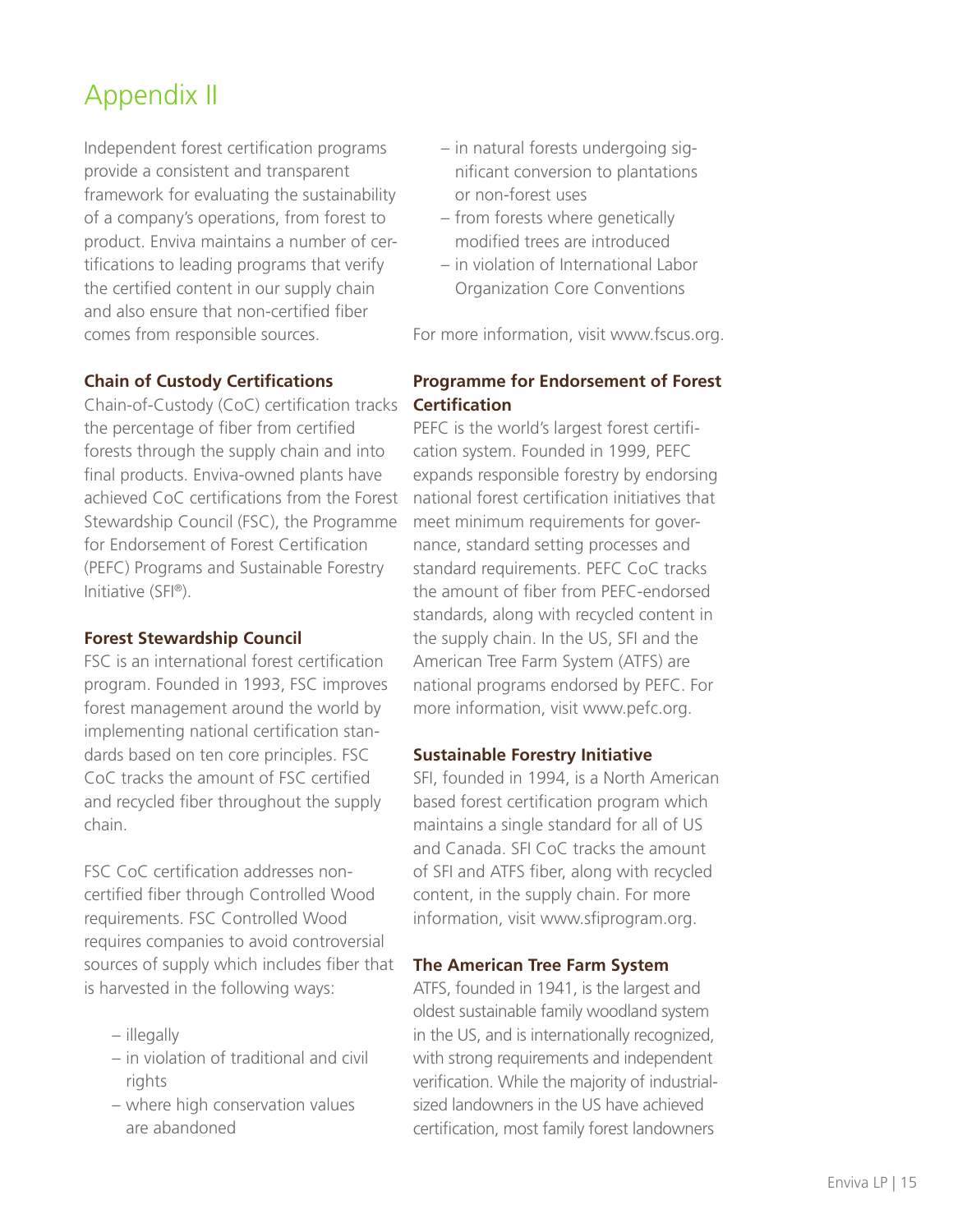# Appendix II

Independent forest certification programs provide a consistent and transparent framework for evaluating the sustainability of a company's operations, from forest to product. Enviva maintains a number of certifications to leading programs that verify the certified content in our supply chain and also ensure that non-certified fiber comes from responsible sources.

### **Chain of Custody Certifications**

Chain-of-Custody (CoC) certification tracks **Certification**  the percentage of fiber from certified forests through the supply chain and into final products. Enviva-owned plants have achieved CoC certifications from the Forest national forest certification initiatives that Stewardship Council (FSC), the Programme for Endorsement of Forest Certification (PEFC) Programs and Sustainable Forestry Initiative (SFI®).

### **Forest Stewardship Council**

FSC is an international forest certification program. Founded in 1993, FSC improves forest management around the world by implementing national certification standards based on ten core principles. FSC CoC tracks the amount of FSC certified and recycled fiber throughout the supply chain.

FSC CoC certification addresses noncertified fiber through Controlled Wood requirements. FSC Controlled Wood requires companies to avoid controversial sources of supply which includes fiber that is harvested in the following ways:

- illegally
- in violation of traditional and civil rights
- where high conservation values are abandoned
- in natural forests undergoing significant conversion to plantations or non-forest uses
- from forests where genetically modified trees are introduced
- in violation of International Labor Organization Core Conventions

For more information, visit www.fscus.org.

# **Programme for Endorsement of Forest**

PEFC is the world's largest forest certification system. Founded in 1999, PEFC expands responsible forestry by endorsing meet minimum requirements for governance, standard setting processes and standard requirements. PEFC CoC tracks the amount of fiber from PEFC-endorsed standards, along with recycled content in the supply chain. In the US, SFI and the American Tree Farm System (ATFS) are national programs endorsed by PEFC. For more information, visit www.pefc.org.

### **Sustainable Forestry Initiative**

SFI, founded in 1994, is a North American based forest certification program which maintains a single standard for all of US and Canada. SFI CoC tracks the amount of SFI and ATFS fiber, along with recycled content, in the supply chain. For more information, visit www.sfiprogram.org.

### **The American Tree Farm System**

ATFS, founded in 1941, is the largest and oldest sustainable family woodland system in the US, and is internationally recognized, with strong requirements and independent verification. While the majority of industrialsized landowners in the US have achieved certification, most family forest landowners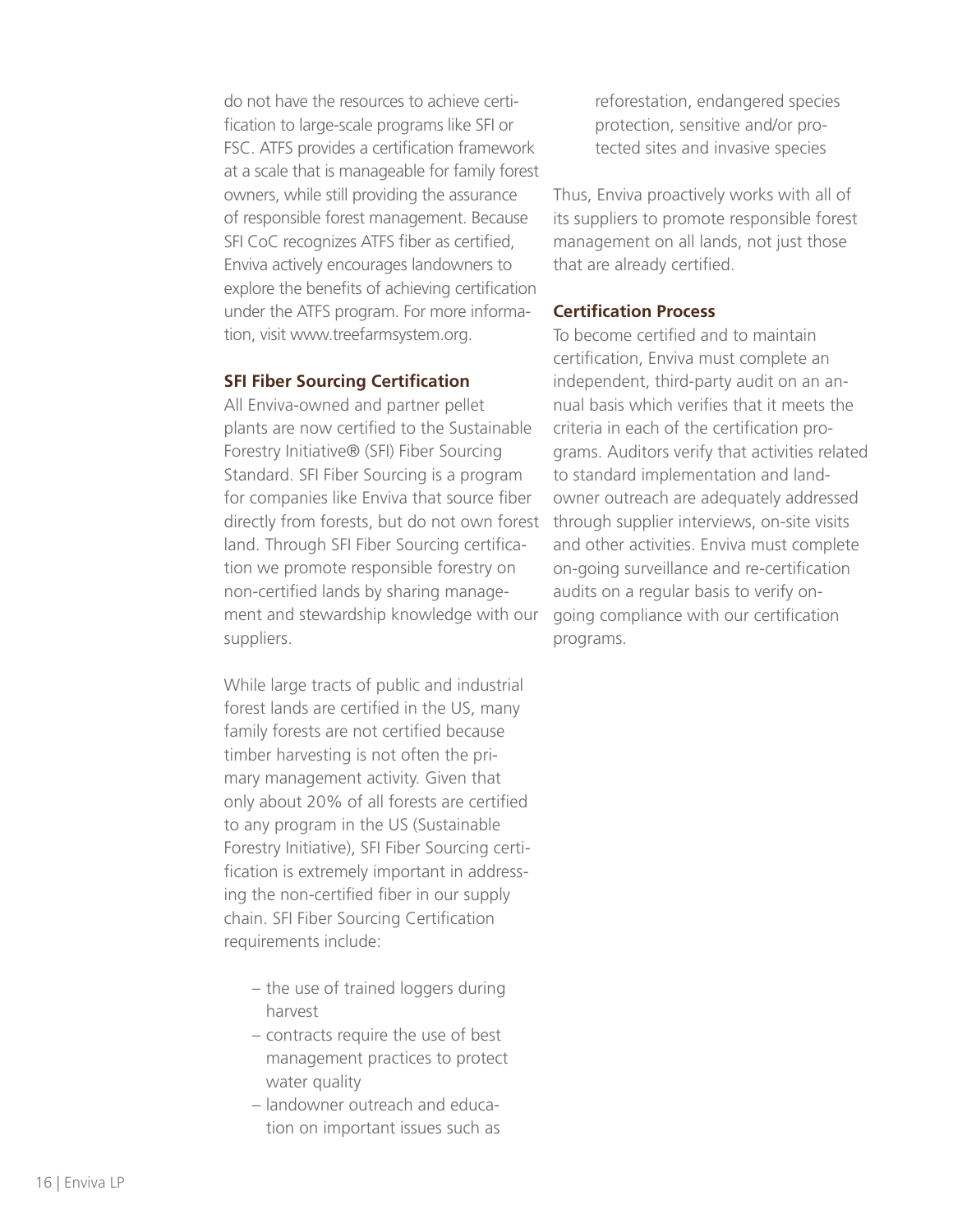do not have the resources to achieve certification to large-scale programs like SFI or FSC. ATFS provides a certification framework at a scale that is manageable for family forest owners, while still providing the assurance of responsible forest management. Because SFI CoC recognizes ATFS fiber as certified, Enviva actively encourages landowners to explore the benefits of achieving certification under the ATFS program. For more information, visit www.treefarmsystem.org.

#### **SFI Fiber Sourcing Certification**

All Enviva-owned and partner pellet plants are now certified to the Sustainable Forestry Initiative® (SFI) Fiber Sourcing Standard. SFI Fiber Sourcing is a program for companies like Enviva that source fiber directly from forests, but do not own forest through supplier interviews, on-site visits land. Through SFI Fiber Sourcing certification we promote responsible forestry on non-certified lands by sharing management and stewardship knowledge with our suppliers.

While large tracts of public and industrial forest lands are certified in the US, many family forests are not certified because timber harvesting is not often the primary management activity. Given that only about 20% of all forests are certified to any program in the US (Sustainable Forestry Initiative), SFI Fiber Sourcing certification is extremely important in addressing the non-certified fiber in our supply chain. SFI Fiber Sourcing Certification requirements include:

- the use of trained loggers during harvest
- contracts require the use of best management practices to protect water quality
- landowner outreach and education on important issues such as

reforestation, endangered species protection, sensitive and/or protected sites and invasive species

Thus, Enviva proactively works with all of its suppliers to promote responsible forest management on all lands, not just those that are already certified.

### **Certification Process**

To become certified and to maintain certification, Enviva must complete an independent, third-party audit on an annual basis which verifies that it meets the criteria in each of the certification programs. Auditors verify that activities related to standard implementation and landowner outreach are adequately addressed and other activities. Enviva must complete on-going surveillance and re-certification audits on a regular basis to verify ongoing compliance with our certification programs.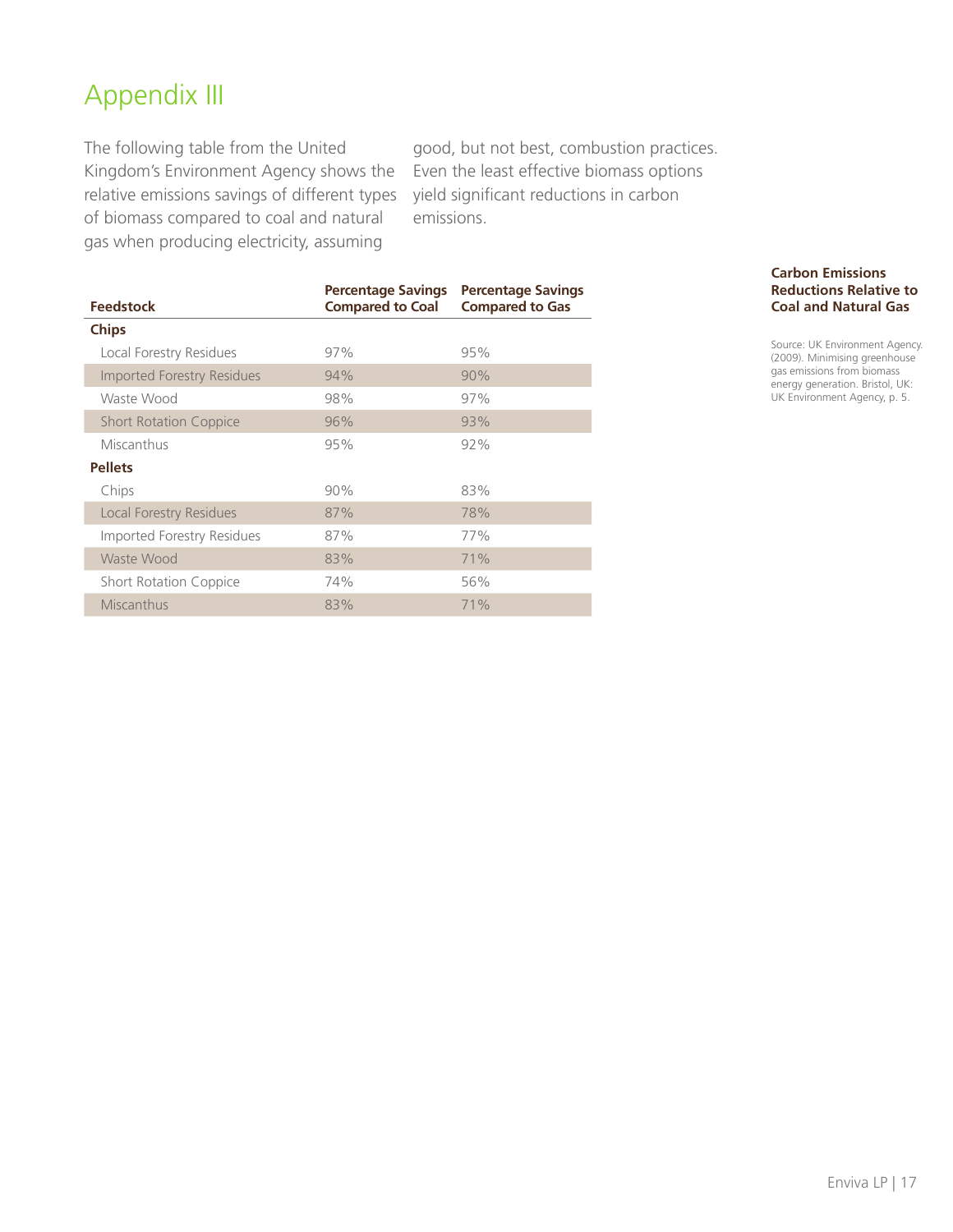# Appendix III

The following table from the United Kingdom's Environment Agency shows the relative emissions savings of different types of biomass compared to coal and natural gas when producing electricity, assuming

good, but not best, combustion practices. Even the least effective biomass options yield significant reductions in carbon emissions.

| <b>Feedstock</b>                  | <b>Percentage Savings</b><br><b>Compared to Coal</b> | <b>Percentage Savings</b><br><b>Compared to Gas</b> |
|-----------------------------------|------------------------------------------------------|-----------------------------------------------------|
| <b>Chips</b>                      |                                                      |                                                     |
| Local Forestry Residues           | 97%                                                  | 95%                                                 |
| <b>Imported Forestry Residues</b> | 94%                                                  | 90%                                                 |
| Waste Wood                        | 98%                                                  | 97%                                                 |
| <b>Short Rotation Coppice</b>     | 96%                                                  | 93%                                                 |
| Miscanthus                        | 95%                                                  | 92%                                                 |
| <b>Pellets</b>                    |                                                      |                                                     |
| Chips                             | 90%                                                  | 83%                                                 |
| Local Forestry Residues           | 87%                                                  | 78%                                                 |
| Imported Forestry Residues        | 87%                                                  | 77%                                                 |
| Waste Wood                        | 83%                                                  | 71%                                                 |
| <b>Short Rotation Coppice</b>     | 74%                                                  | 56%                                                 |
| Miscanthus                        | 83%                                                  | 71%                                                 |

**Carbon Emissions Reductions Relative to Coal and Natural Gas**

Source: UK Environment Agency. (2009). Minimising greenhouse gas emissions from biomass energy generation. Bristol, UK: UK Environment Agency, p. 5.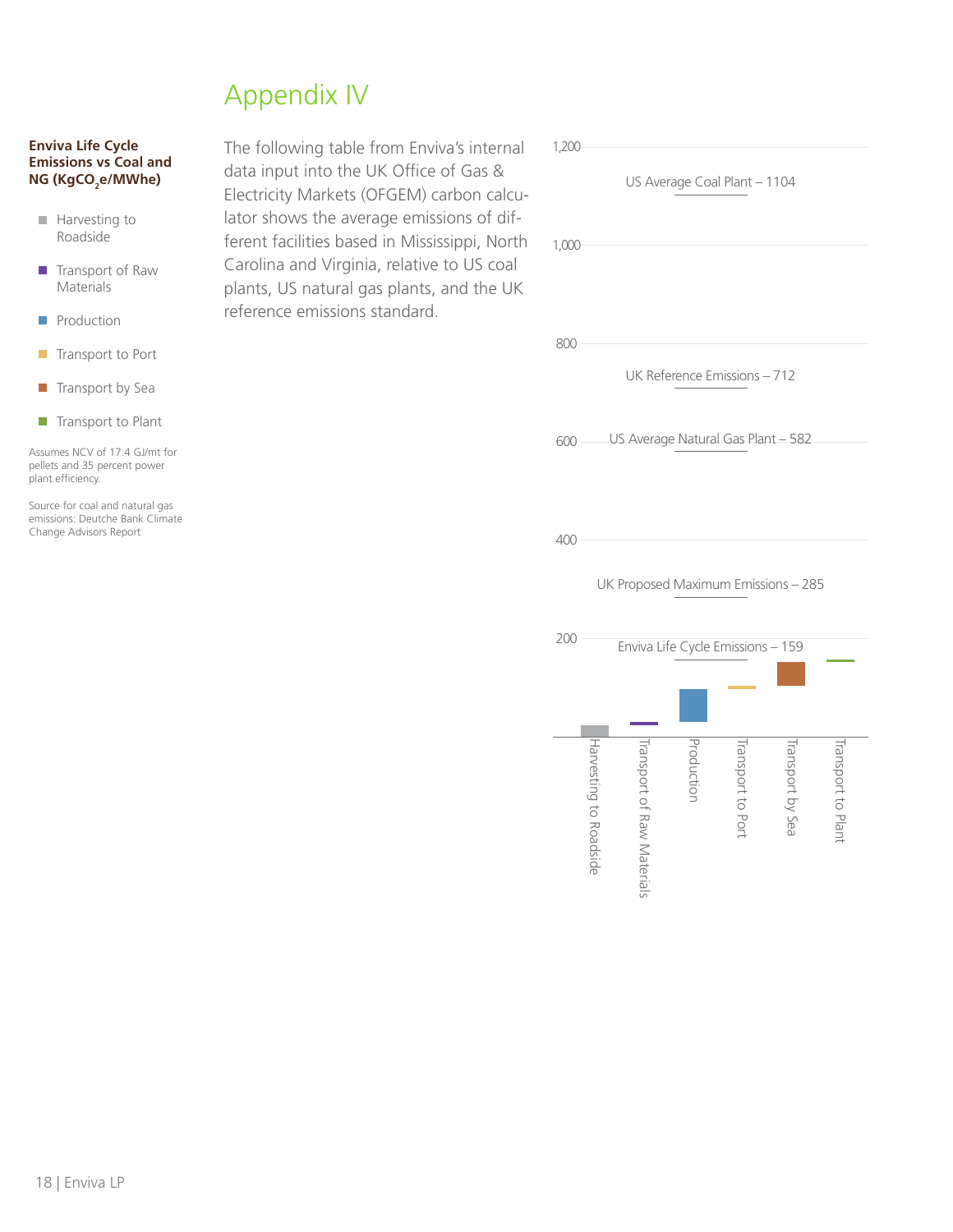# Appendix IV

#### **Enviva Life Cycle Emissions vs Coal and NG (KgCO2 e/MWhe)**

- **Harvesting to** Roadside
- **Transport of Raw** Materials
- **Production**
- **Transport to Port**
- $\blacksquare$  Transport by Sea
- $\blacksquare$  Transport to Plant

Assumes NCV of 17.4 GJ/mt for pellets and 35 percent power plant efficiency.

Source for coal and natural gas emissions: Deutche Bank Climate Change Advisors Report

The following table from Enviva's internal data input into the UK Office of Gas & Electricity Markets (OFGEM) carbon calculator shows the average emissions of different facilities based in Mississippi, North Carolina and Virginia, relative to US coal plants, US natural gas plants, and the UK reference emissions standard.

| 1,200 |                        |                                     |                              |                         |                    |
|-------|------------------------|-------------------------------------|------------------------------|-------------------------|--------------------|
|       |                        |                                     | US Average Coal Plant - 1104 |                         |                    |
| 1,000 |                        |                                     |                              |                         |                    |
| 800   |                        |                                     |                              |                         |                    |
|       |                        |                                     | UK Reference Emissions - 712 |                         |                    |
| 600   |                        | US Average Natural Gas Plant - 582  |                              |                         |                    |
| 400   |                        |                                     |                              |                         |                    |
|       |                        |                                     |                              |                         |                    |
| 200   |                        | UK Proposed Maximum Emissions - 285 |                              |                         |                    |
|       |                        | Enviva Life Cycle Emissions - 159   |                              |                         |                    |
|       |                        |                                     |                              |                         |                    |
|       | Harvesting to Roadside | Transport of Raw Materials          | ransport to Por              | <b>Transport by Sea</b> | Transport to Plant |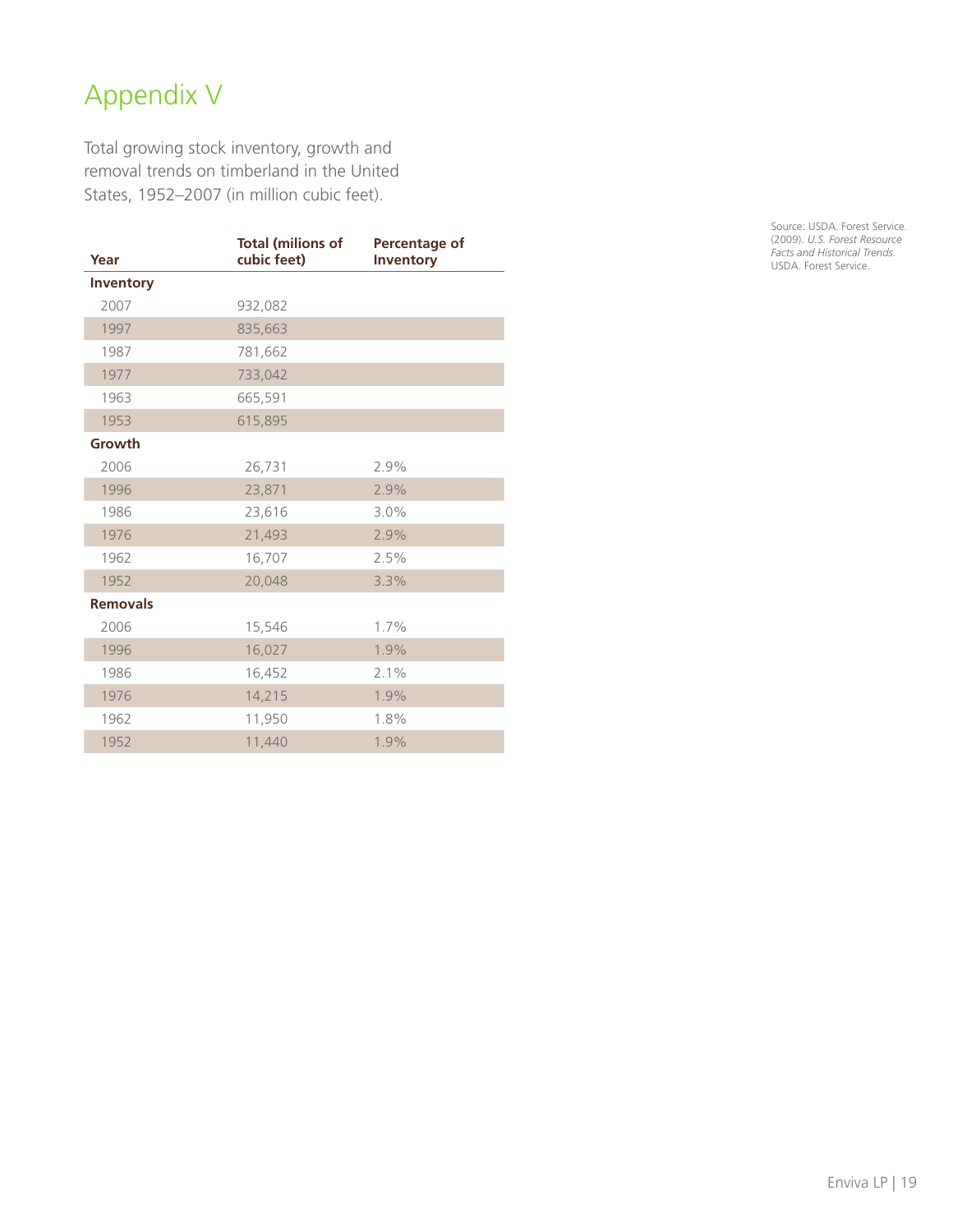# Appendix V

Total growing stock inventory, growth and removal trends on timberland in the United States, 1952–2007 (in million cubic feet).

| Year            | <b>Total (milions of</b><br>cubic feet) | Percentage of<br><b>Inventory</b> |
|-----------------|-----------------------------------------|-----------------------------------|
| Inventory       |                                         |                                   |
| 2007            | 932,082                                 |                                   |
| 1997            | 835,663                                 |                                   |
| 1987            | 781,662                                 |                                   |
| 1977            | 733,042                                 |                                   |
| 1963            | 665,591                                 |                                   |
| 1953            | 615,895                                 |                                   |
| Growth          |                                         |                                   |
| 2006            | 26,731                                  | 2.9%                              |
| 1996            | 23,871                                  | 2.9%                              |
| 1986            | 23,616                                  | 3.0%                              |
| 1976            | 21,493                                  | 2.9%                              |
| 1962            | 16,707                                  | 2.5%                              |
| 1952            | 20,048                                  | 3.3%                              |
| <b>Removals</b> |                                         |                                   |
| 2006            | 15,546                                  | 1.7%                              |
| 1996            | 16,027                                  | 1.9%                              |
| 1986            | 16,452                                  | 2.1%                              |
| 1976            | 14,215                                  | 1.9%                              |
| 1962            | 11,950                                  | 1.8%                              |
| 1952            | 11,440                                  | 1.9%                              |

Source: USDA. Forest Service. (2009). *U.S. Forest Resource Facts and Historical Trends.* USDA. Forest Service.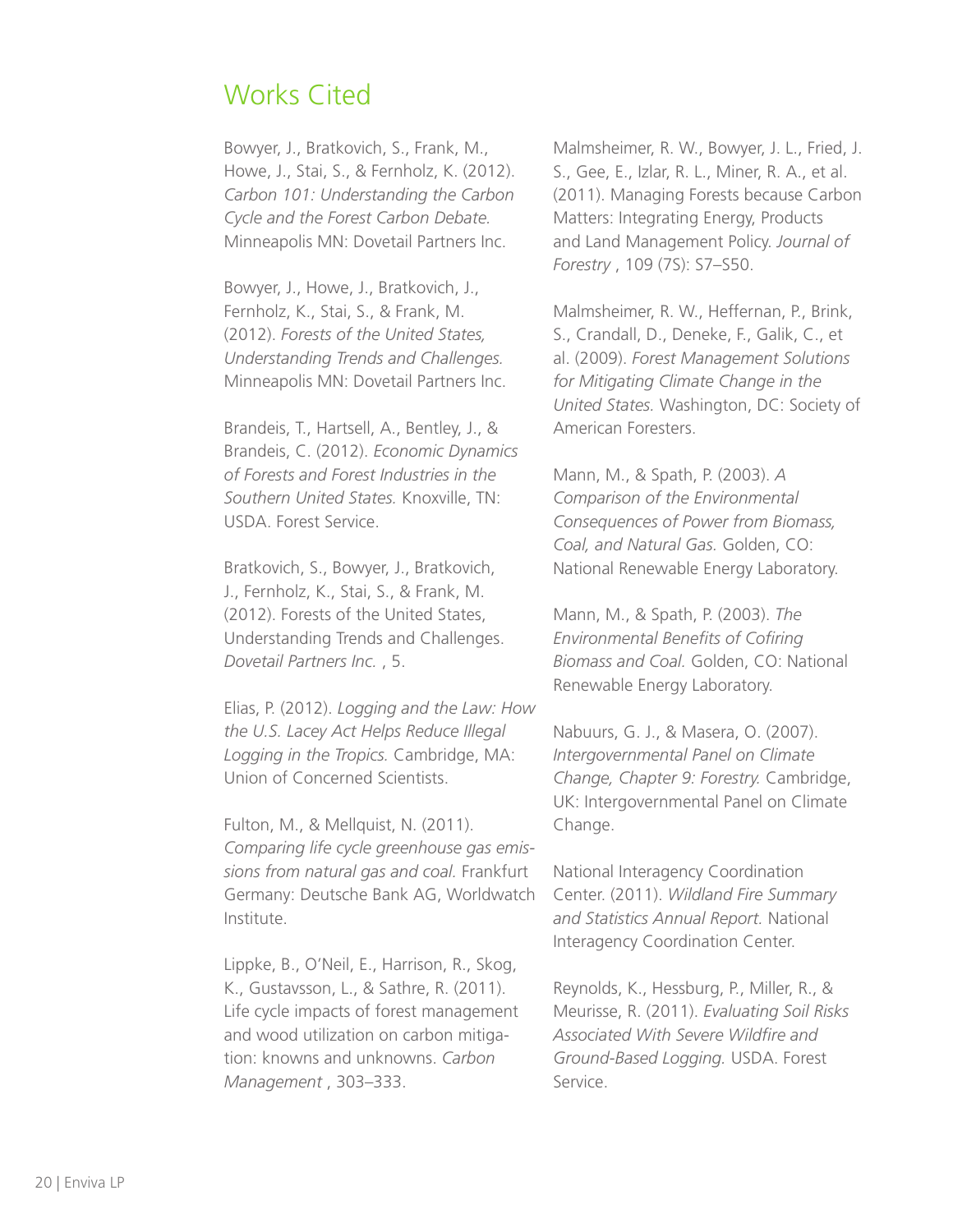### Works Cited

Bowyer, J., Bratkovich, S., Frank, M., Howe, J., Stai, S., & Fernholz, K. (2012). *Carbon 101: Understanding the Carbon Cycle and the Forest Carbon Debate.* Minneapolis MN: Dovetail Partners Inc.

Bowyer, J., Howe, J., Bratkovich, J., Fernholz, K., Stai, S., & Frank, M. (2012). *Forests of the United States, Understanding Trends and Challenges.* Minneapolis MN: Dovetail Partners Inc.

Brandeis, T., Hartsell, A., Bentley, J., & Brandeis, C. (2012). *Economic Dynamics of Forests and Forest Industries in the Southern United States.* Knoxville, TN: USDA. Forest Service.

Bratkovich, S., Bowyer, J., Bratkovich, J., Fernholz, K., Stai, S., & Frank, M. (2012). Forests of the United States, Understanding Trends and Challenges. *Dovetail Partners Inc.* , 5.

Elias, P. (2012). *Logging and the Law: How the U.S. Lacey Act Helps Reduce Illegal Logging in the Tropics.* Cambridge, MA: Union of Concerned Scientists.

Fulton, M., & Mellquist, N. (2011). *Comparing life cycle greenhouse gas emissions from natural gas and coal.* Frankfurt Germany: Deutsche Bank AG, Worldwatch Institute.

Lippke, B., O'Neil, E., Harrison, R., Skog, K., Gustavsson, L., & Sathre, R. (2011). Life cycle impacts of forest management and wood utilization on carbon mitigation: knowns and unknowns. *Carbon Management* , 303–333.

Malmsheimer, R. W., Bowyer, J. L., Fried, J. S., Gee, E., Izlar, R. L., Miner, R. A., et al. (2011). Managing Forests because Carbon Matters: Integrating Energy, Products and Land Management Policy. *Journal of Forestry* , 109 (7S): S7–S50.

Malmsheimer, R. W., Heffernan, P., Brink, S., Crandall, D., Deneke, F., Galik, C., et al. (2009). *Forest Management Solutions for Mitigating Climate Change in the United States.* Washington, DC: Society of American Foresters.

Mann, M., & Spath, P. (2003). *A Comparison of the Environmental Consequences of Power from Biomass, Coal, and Natural Gas.* Golden, CO: National Renewable Energy Laboratory.

Mann, M., & Spath, P. (2003). *The Environmental Benefits of Cofiring Biomass and Coal.* Golden, CO: National Renewable Energy Laboratory.

Nabuurs, G. J., & Masera, O. (2007). *Intergovernmental Panel on Climate Change, Chapter 9: Forestry.* Cambridge, UK: Intergovernmental Panel on Climate Change.

National Interagency Coordination Center. (2011). *Wildland Fire Summary and Statistics Annual Report.* National Interagency Coordination Center.

Reynolds, K., Hessburg, P., Miller, R., & Meurisse, R. (2011). *Evaluating Soil Risks Associated With Severe Wildfire and Ground-Based Logging.* USDA. Forest Service.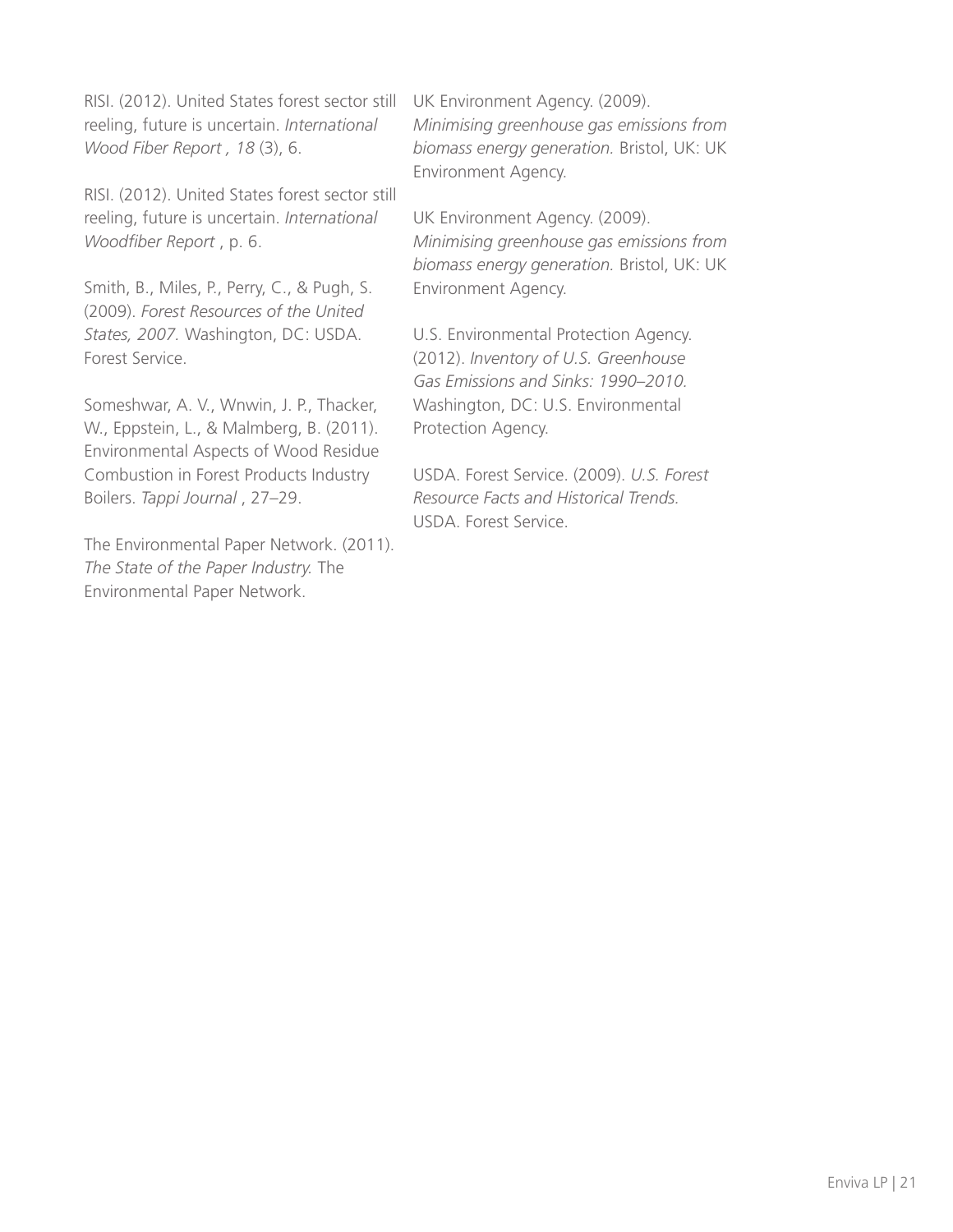RISI. (2012). United States forest sector still UK Environment Agency. (2009). reeling, future is uncertain. *International Wood Fiber Report , 18* (3), 6.

RISI. (2012). United States forest sector still reeling, future is uncertain. *International Woodfiber Report* , p. 6.

Smith, B., Miles, P., Perry, C., & Pugh, S. (2009). *Forest Resources of the United States, 2007.* Washington, DC: USDA. Forest Service.

Someshwar, A. V., Wnwin, J. P., Thacker, W., Eppstein, L., & Malmberg, B. (2011). Environmental Aspects of Wood Residue Combustion in Forest Products Industry Boilers. *Tappi Journal* , 27–29.

The Environmental Paper Network. (2011). *The State of the Paper Industry.* The Environmental Paper Network.

*Minimising greenhouse gas emissions from biomass energy generation.* Bristol, UK: UK Environment Agency.

UK Environment Agency. (2009). *Minimising greenhouse gas emissions from biomass energy generation.* Bristol, UK: UK Environment Agency.

U.S. Environmental Protection Agency. (2012). *Inventory of U.S. Greenhouse Gas Emissions and Sinks: 1990–2010.* Washington, DC: U.S. Environmental Protection Agency.

USDA. Forest Service. (2009). *U.S. Forest Resource Facts and Historical Trends.* USDA. Forest Service.